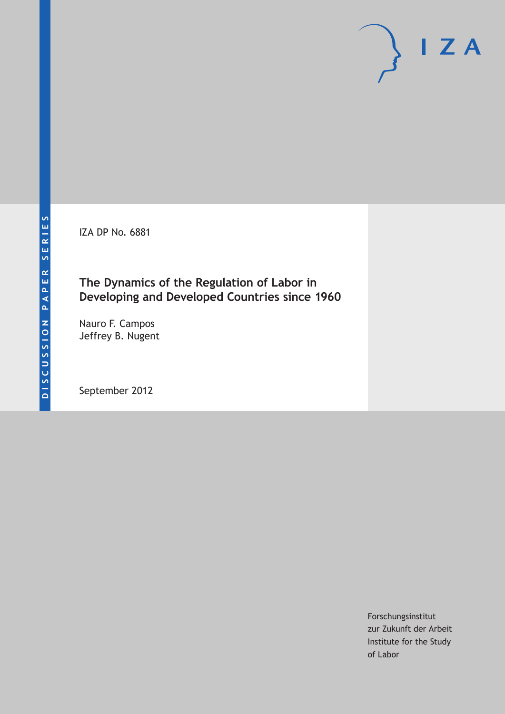IZA DP No. 6881

## **The Dynamics of the Regulation of Labor in Developing and Developed Countries since 1960**

Nauro F. Campos Jeffrey B. Nugent

September 2012

Forschungsinstitut zur Zukunft der Arbeit Institute for the Study of Labor

 $I Z A$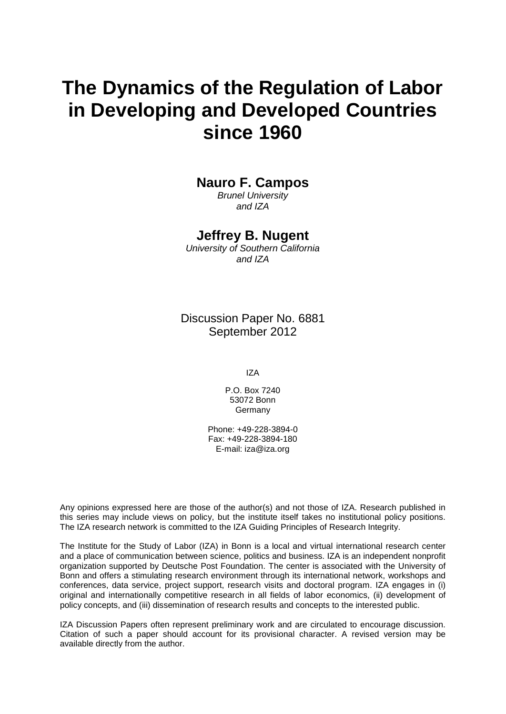# **The Dynamics of the Regulation of Labor in Developing and Developed Countries since 1960**

### **Nauro F. Campos**

*Brunel University and IZA*

### **Jeffrey B. Nugent**

*University of Southern California and IZA*

Discussion Paper No. 6881 September 2012

IZA

P.O. Box 7240 53072 Bonn Germany

Phone: +49-228-3894-0 Fax: +49-228-3894-180 E-mail: [iza@iza.org](mailto:iza@iza.org)

Any opinions expressed here are those of the author(s) and not those of IZA. Research published in this series may include views on policy, but the institute itself takes no institutional policy positions. The IZA research network is committed to the IZA Guiding Principles of Research Integrity.

<span id="page-1-0"></span>The Institute for the Study of Labor (IZA) in Bonn is a local and virtual international research center and a place of communication between science, politics and business. IZA is an independent nonprofit organization supported by Deutsche Post Foundation. The center is associated with the University of Bonn and offers a stimulating research environment through its international network, workshops and conferences, data service, project support, research visits and doctoral program. IZA engages in (i) original and internationally competitive research in all fields of labor economics, (ii) development of policy concepts, and (iii) dissemination of research results and concepts to the interested public.

IZA Discussion Papers often represent preliminary work and are circulated to encourage discussion. Citation of such a paper should account for its provisional character. A revised version may be available directly from the author.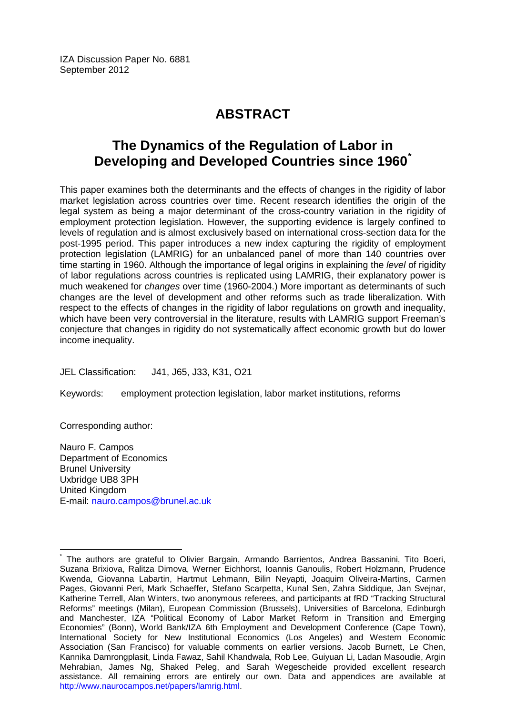IZA Discussion Paper No. 6881 September 2012

# **ABSTRACT**

## **The Dynamics of the Regulation of Labor in Developing and Developed Countries since 1960[\\*](#page-1-0)**

This paper examines both the determinants and the effects of changes in the rigidity of labor market legislation across countries over time. Recent research identifies the origin of the legal system as being a major determinant of the cross-country variation in the rigidity of employment protection legislation. However, the supporting evidence is largely confined to levels of regulation and is almost exclusively based on international cross-section data for the post-1995 period. This paper introduces a new index capturing the rigidity of employment protection legislation (LAMRIG) for an unbalanced panel of more than 140 countries over time starting in 1960. Although the importance of legal origins in explaining the *level* of rigidity of labor regulations across countries is replicated using LAMRIG, their explanatory power is much weakened for *changes* over time (1960-2004.) More important as determinants of such changes are the level of development and other reforms such as trade liberalization. With respect to the effects of changes in the rigidity of labor regulations on growth and inequality, which have been very controversial in the literature, results with LAMRIG support Freeman's conjecture that changes in rigidity do not systematically affect economic growth but do lower income inequality.

JEL Classification: J41, J65, J33, K31, O21

Keywords: employment protection legislation, labor market institutions, reforms

Corresponding author:

Nauro F. Campos Department of Economics Brunel University Uxbridge UB8 3PH United Kingdom E-mail: [nauro.campos@brunel.ac.uk](mailto:nauro.campos@brunel.ac.uk)

The authors are grateful to Olivier Bargain, Armando Barrientos, Andrea Bassanini, Tito Boeri, Suzana Brixiova, Ralitza Dimova, Werner Eichhorst, Ioannis Ganoulis, Robert Holzmann, Prudence Kwenda, Giovanna Labartin, Hartmut Lehmann, Bilin Neyapti, Joaquim Oliveira-Martins, Carmen Pages, Giovanni Peri, Mark Schaeffer, Stefano Scarpetta, Kunal Sen, Zahra Siddique, Jan Svejnar, Katherine Terrell, Alan Winters, two anonymous referees, and participants at fRD "Tracking Structural Reforms" meetings (Milan), European Commission (Brussels), Universities of Barcelona, Edinburgh and Manchester, IZA "Political Economy of Labor Market Reform in Transition and Emerging Economies" (Bonn), World Bank/IZA 6th Employment and Development Conference (Cape Town), International Society for New Institutional Economics (Los Angeles) and Western Economic Association (San Francisco) for valuable comments on earlier versions. Jacob Burnett, Le Chen, Kannika Damrongplasit, Linda Fawaz, Sahil Khandwala, Rob Lee, Guiyuan Li, Ladan Masoudie, Argin Mehrabian, James Ng, Shaked Peleg, and Sarah Wegescheide provided excellent research assistance. All remaining errors are entirely our own. Data and appendices are available at [http://www.naurocampos.net/papers/lamrig.html.](http://www.naurocampos.net/papers/lamrig.html)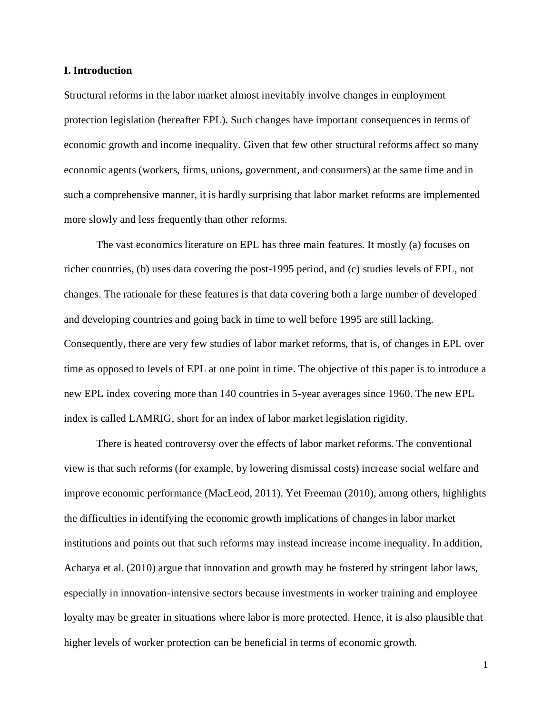#### **I. Introduction**

Structural reforms in the labor market almost inevitably involve changes in employment protection legislation (hereafter EPL). Such changes have important consequences in terms of economic growth and income inequality. Given that few other structural reforms affect so many economic agents (workers, firms, unions, government, and consumers) at the same time and in such a comprehensive manner, it is hardly surprising that labor market reforms are implemented more slowly and less frequently than other reforms.

The vast economics literature on EPL has three main features. It mostly (a) focuses on richer countries, (b) uses data covering the post-1995 period, and (c) studies levels of EPL, not changes. The rationale for these features is that data covering both a large number of developed and developing countries and going back in time to well before 1995 are still lacking. Consequently, there are very few studies of labor market reforms, that is, of changes in EPL over time as opposed to levels of EPL at one point in time. The objective of this paper is to introduce a new EPL index covering more than 140 countries in 5-year averages since 1960. The new EPL index is called LAMRIG, short for an index of labor market legislation rigidity.

There is heated controversy over the effects of labor market reforms. The conventional view is that such reforms (for example, by lowering dismissal costs) increase social welfare and improve economic performance (MacLeod, 2011). Yet Freeman (2010), among others, highlights the difficulties in identifying the economic growth implications of changes in labor market institutions and points out that such reforms may instead increase income inequality. In addition, Acharya et al. (2010) argue that innovation and growth may be fostered by stringent labor laws, especially in innovation-intensive sectors because investments in worker training and employee loyalty may be greater in situations where labor is more protected. Hence, it is also plausible that higher levels of worker protection can be beneficial in terms of economic growth.

1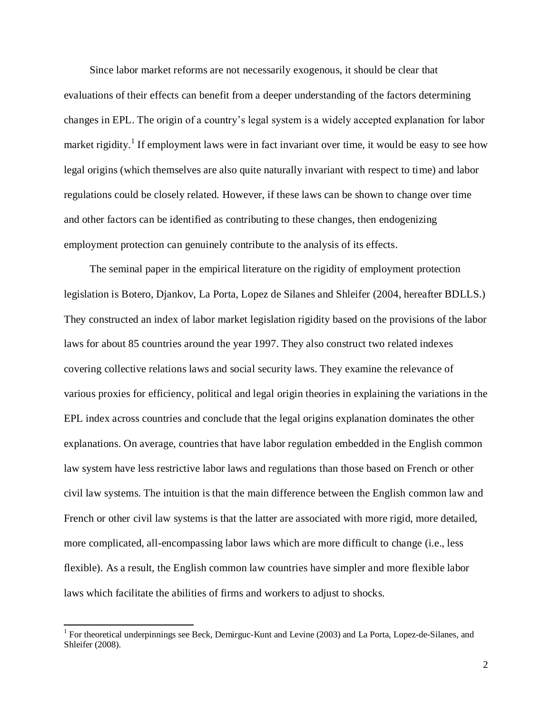Since labor market reforms are not necessarily exogenous, it should be clear that evaluations of their effects can benefit from a deeper understanding of the factors determining changes in EPL. The origin of a country's legal system is a widely accepted explanation for labor market rigidity.<sup>1</sup> If employment laws were in fact invariant over time, it would be easy to see how legal origins (which themselves are also quite naturally invariant with respect to time) and labor regulations could be closely related. However, if these laws can be shown to change over time and other factors can be identified as contributing to these changes, then endogenizing employment protection can genuinely contribute to the analysis of its effects.

The seminal paper in the empirical literature on the rigidity of employment protection legislation is Botero, Djankov, La Porta, Lopez de Silanes and Shleifer (2004, hereafter BDLLS.) They constructed an index of labor market legislation rigidity based on the provisions of the labor laws for about 85 countries around the year 1997. They also construct two related indexes covering collective relations laws and social security laws. They examine the relevance of various proxies for efficiency, political and legal origin theories in explaining the variations in the EPL index across countries and conclude that the legal origins explanation dominates the other explanations. On average, countries that have labor regulation embedded in the English common law system have less restrictive labor laws and regulations than those based on French or other civil law systems. The intuition is that the main difference between the English common law and French or other civil law systems is that the latter are associated with more rigid, more detailed, more complicated, all-encompassing labor laws which are more difficult to change (i.e., less flexible). As a result, the English common law countries have simpler and more flexible labor laws which facilitate the abilities of firms and workers to adjust to shocks.

<sup>1</sup> For theoretical underpinnings see Beck, Demirguc-Kunt and Levine (2003) and La Porta, Lopez-de-Silanes, and Shleifer (2008).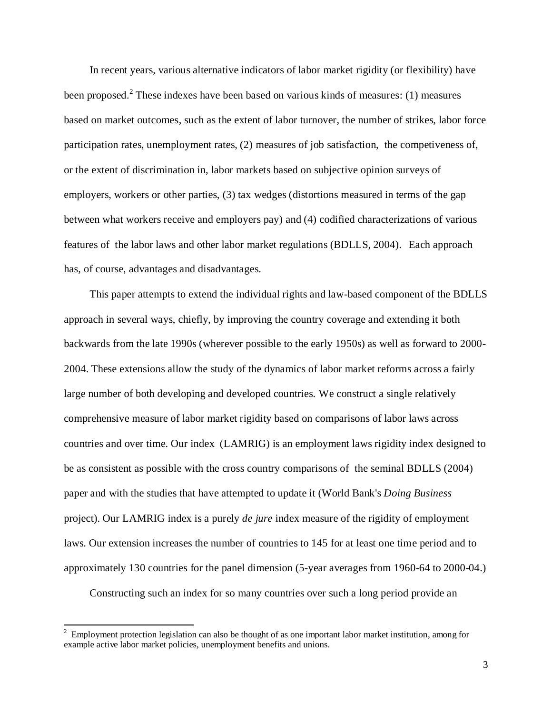In recent years, various alternative indicators of labor market rigidity (or flexibility) have been proposed.<sup>2</sup> These indexes have been based on various kinds of measures: (1) measures based on market outcomes, such as the extent of labor turnover, the number of strikes, labor force participation rates, unemployment rates, (2) measures of job satisfaction, the competiveness of, or the extent of discrimination in, labor markets based on subjective opinion surveys of employers, workers or other parties, (3) tax wedges (distortions measured in terms of the gap between what workers receive and employers pay) and (4) codified characterizations of various features of the labor laws and other labor market regulations (BDLLS, 2004). Each approach has, of course, advantages and disadvantages.

This paper attempts to extend the individual rights and law-based component of the BDLLS approach in several ways, chiefly, by improving the country coverage and extending it both backwards from the late 1990s (wherever possible to the early 1950s) as well as forward to 2000- 2004. These extensions allow the study of the dynamics of labor market reforms across a fairly large number of both developing and developed countries. We construct a single relatively comprehensive measure of labor market rigidity based on comparisons of labor laws across countries and over time. Our index (LAMRIG) is an employment laws rigidity index designed to be as consistent as possible with the cross country comparisons of the seminal BDLLS (2004) paper and with the studies that have attempted to update it (World Bank's *Doing Business* project). Our LAMRIG index is a purely *de jure* index measure of the rigidity of employment laws. Our extension increases the number of countries to 145 for at least one time period and to approximately 130 countries for the panel dimension (5-year averages from 1960-64 to 2000-04.)

Constructing such an index for so many countries over such a long period provide an

<sup>2</sup> Employment protection legislation can also be thought of as one important labor market institution, among for example active labor market policies, unemployment benefits and unions.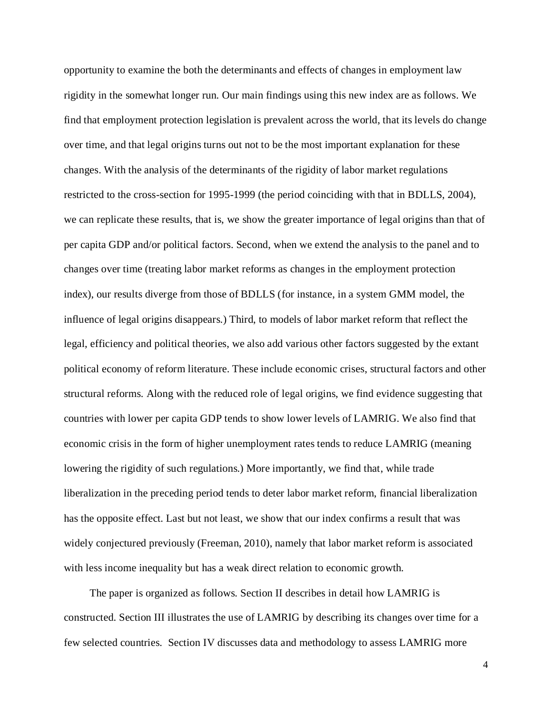opportunity to examine the both the determinants and effects of changes in employment law rigidity in the somewhat longer run. Our main findings using this new index are as follows. We find that employment protection legislation is prevalent across the world, that its levels do change over time, and that legal origins turns out not to be the most important explanation for these changes. With the analysis of the determinants of the rigidity of labor market regulations restricted to the cross-section for 1995-1999 (the period coinciding with that in BDLLS, 2004), we can replicate these results, that is, we show the greater importance of legal origins than that of per capita GDP and/or political factors. Second, when we extend the analysis to the panel and to changes over time (treating labor market reforms as changes in the employment protection index), our results diverge from those of BDLLS (for instance, in a system GMM model, the influence of legal origins disappears.) Third, to models of labor market reform that reflect the legal, efficiency and political theories, we also add various other factors suggested by the extant political economy of reform literature. These include economic crises, structural factors and other structural reforms. Along with the reduced role of legal origins, we find evidence suggesting that countries with lower per capita GDP tends to show lower levels of LAMRIG. We also find that economic crisis in the form of higher unemployment rates tends to reduce LAMRIG (meaning lowering the rigidity of such regulations.) More importantly, we find that, while trade liberalization in the preceding period tends to deter labor market reform, financial liberalization has the opposite effect. Last but not least, we show that our index confirms a result that was widely conjectured previously (Freeman, 2010), namely that labor market reform is associated with less income inequality but has a weak direct relation to economic growth.

The paper is organized as follows. Section II describes in detail how LAMRIG is constructed. Section III illustrates the use of LAMRIG by describing its changes over time for a few selected countries. Section IV discusses data and methodology to assess LAMRIG more

4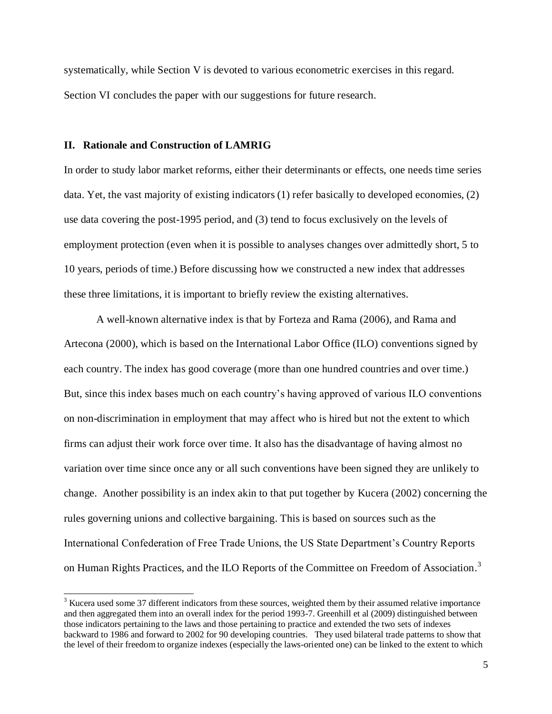systematically, while Section V is devoted to various econometric exercises in this regard. Section VI concludes the paper with our suggestions for future research.

#### **II. Rationale and Construction of LAMRIG**

l

In order to study labor market reforms, either their determinants or effects, one needs time series data. Yet, the vast majority of existing indicators (1) refer basically to developed economies, (2) use data covering the post-1995 period, and (3) tend to focus exclusively on the levels of employment protection (even when it is possible to analyses changes over admittedly short, 5 to 10 years, periods of time.) Before discussing how we constructed a new index that addresses these three limitations, it is important to briefly review the existing alternatives.

A well-known alternative index is that by Forteza and Rama (2006), and Rama and Artecona (2000), which is based on the International Labor Office (ILO) conventions signed by each country. The index has good coverage (more than one hundred countries and over time.) But, since this index bases much on each country's having approved of various ILO conventions on non-discrimination in employment that may affect who is hired but not the extent to which firms can adjust their work force over time. It also has the disadvantage of having almost no variation over time since once any or all such conventions have been signed they are unlikely to change. Another possibility is an index akin to that put together by Kucera (2002) concerning the rules governing unions and collective bargaining. This is based on sources such as the International Confederation of Free Trade Unions, the US State Department's Country Reports on Human Rights Practices, and the ILO Reports of the Committee on Freedom of Association.<sup>3</sup>

 $3$  Kucera used some 37 different indicators from these sources, weighted them by their assumed relative importance and then aggregated them into an overall index for the period 1993-7. Greenhill et al (2009) distinguished between those indicators pertaining to the laws and those pertaining to practice and extended the two sets of indexes backward to 1986 and forward to 2002 for 90 developing countries. They used bilateral trade patterns to show that the level of their freedom to organize indexes (especially the laws-oriented one) can be linked to the extent to which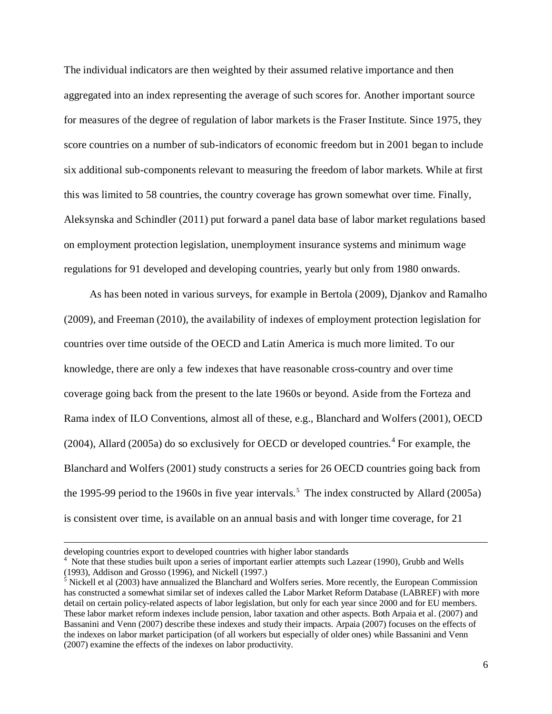The individual indicators are then weighted by their assumed relative importance and then aggregated into an index representing the average of such scores for. Another important source for measures of the degree of regulation of labor markets is the Fraser Institute. Since 1975, they score countries on a number of sub-indicators of economic freedom but in 2001 began to include six additional sub-components relevant to measuring the freedom of labor markets. While at first this was limited to 58 countries, the country coverage has grown somewhat over time. Finally, Aleksynska and Schindler (2011) put forward a panel data base of labor market regulations based on employment protection legislation, unemployment insurance systems and minimum wage regulations for 91 developed and developing countries, yearly but only from 1980 onwards.

As has been noted in various surveys, for example in Bertola (2009), Djankov and Ramalho (2009), and Freeman (2010), the availability of indexes of employment protection legislation for countries over time outside of the OECD and Latin America is much more limited. To our knowledge, there are only a few indexes that have reasonable cross-country and over time coverage going back from the present to the late 1960s or beyond. Aside from the Forteza and Rama index of ILO Conventions, almost all of these, e.g., Blanchard and Wolfers (2001), OECD  $(2004)$ , Allard  $(2005a)$  do so exclusively for OECD or developed countries.<sup>4</sup> For example, the Blanchard and Wolfers (2001) study constructs a series for 26 OECD countries going back from the 1995-99 period to the 1960s in five year intervals.<sup>5</sup> The index constructed by Allard (2005a) is consistent over time, is available on an annual basis and with longer time coverage, for 21

developing countries export to developed countries with higher labor standards

Note that these studies built upon a series of important earlier attempts such Lazear (1990), Grubb and Wells (1993), Addison and Grosso (1996), and Nickell (1997.)

 $<sup>5</sup>$  Nickell et al (2003) have annualized the Blanchard and Wolfers series. More recently, the European Commission</sup> has constructed a somewhat similar set of indexes called the Labor Market Reform Database (LABREF) with more detail on certain policy-related aspects of labor legislation, but only for each year since 2000 and for EU members. These labor market reform indexes include pension, labor taxation and other aspects. Both Arpaia et al. (2007) and Bassanini and Venn (2007) describe these indexes and study their impacts. Arpaia (2007) focuses on the effects of the indexes on labor market participation (of all workers but especially of older ones) while Bassanini and Venn (2007) examine the effects of the indexes on labor productivity.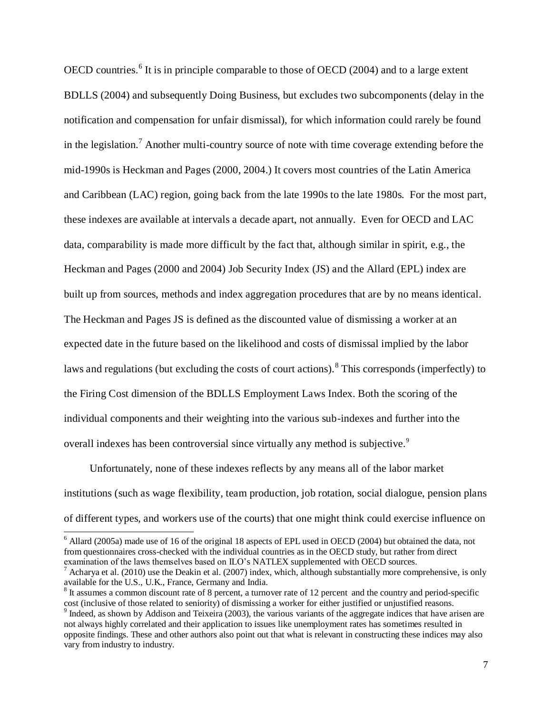OECD countries.<sup>6</sup> It is in principle comparable to those of OECD (2004) and to a large extent BDLLS (2004) and subsequently Doing Business, but excludes two subcomponents (delay in the notification and compensation for unfair dismissal), for which information could rarely be found in the legislation.<sup>7</sup> Another multi-country source of note with time coverage extending before the mid-1990s is Heckman and Pages (2000, 2004.) It covers most countries of the Latin America and Caribbean (LAC) region, going back from the late 1990s to the late 1980s. For the most part, these indexes are available at intervals a decade apart, not annually. Even for OECD and LAC data, comparability is made more difficult by the fact that, although similar in spirit, e.g., the Heckman and Pages (2000 and 2004) Job Security Index (JS) and the Allard (EPL) index are built up from sources, methods and index aggregation procedures that are by no means identical. The Heckman and Pages JS is defined as the discounted value of dismissing a worker at an expected date in the future based on the likelihood and costs of dismissal implied by the labor laws and regulations (but excluding the costs of court actions).<sup>8</sup> This corresponds (imperfectly) to the Firing Cost dimension of the BDLLS Employment Laws Index. Both the scoring of the individual components and their weighting into the various sub-indexes and further into the overall indexes has been controversial since virtually any method is subjective.<sup>9</sup>

Unfortunately, none of these indexes reflects by any means all of the labor market institutions (such as wage flexibility, team production, job rotation, social dialogue, pension plans of different types, and workers use of the courts) that one might think could exercise influence on

 $6$  Allard (2005a) made use of 16 of the original 18 aspects of EPL used in OECD (2004) but obtained the data, not from questionnaires cross-checked with the individual countries as in the OECD study, but rather from direct examination of the laws themselves based on ILO's NATLEX supplemented with OECD sources.

<sup>7</sup> Acharya et al. (2010) use the Deakin et al. (2007) index, which, although substantially more comprehensive, is only available for the U.S., U.K., France, Germany and India.

<sup>&</sup>lt;sup>8</sup> It assumes a common discount rate of 8 percent, a turnover rate of 12 percent and the country and period-specific cost (inclusive of those related to seniority) of dismissing a worker for either justified or unjustified reasons.

 $9$  Indeed, as shown by Addison and Teixeira (2003), the various variants of the aggregate indices that have arisen are not always highly correlated and their application to issues like unemployment rates has sometimes resulted in opposite findings. These and other authors also point out that what is relevant in constructing these indices may also vary from industry to industry.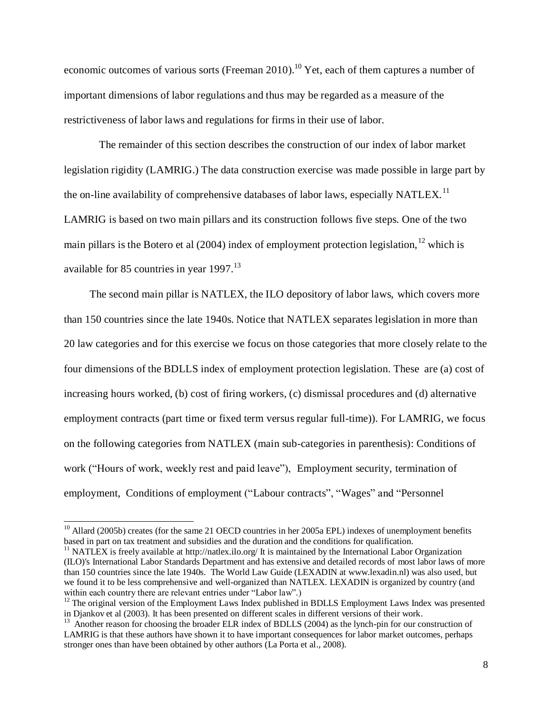economic outcomes of various sorts (Freeman 2010).<sup>10</sup> Yet, each of them captures a number of important dimensions of labor regulations and thus may be regarded as a measure of the restrictiveness of labor laws and regulations for firms in their use of labor.

The remainder of this section describes the construction of our index of labor market legislation rigidity (LAMRIG.) The data construction exercise was made possible in large part by the on-line availability of comprehensive databases of labor laws, especially NATLEX.<sup>11</sup> LAMRIG is based on two main pillars and its construction follows five steps. One of the two main pillars is the Botero et al  $(2004)$  index of employment protection legislation, <sup>12</sup> which is available for 85 countries in year  $1997$ .<sup>13</sup>

The second main pillar is NATLEX, the ILO depository of labor laws, which covers more than 150 countries since the late 1940s. Notice that NATLEX separates legislation in more than 20 law categories and for this exercise we focus on those categories that more closely relate to the four dimensions of the BDLLS index of employment protection legislation. These are (a) cost of increasing hours worked, (b) cost of firing workers, (c) dismissal procedures and (d) alternative employment contracts (part time or fixed term versus regular full-time)). For LAMRIG, we focus on the following categories from NATLEX (main sub-categories in parenthesis): Conditions of work ("Hours of work, weekly rest and paid leave"), [Employment security, termination of](http://www.ilo.org/dyn/natlex/natlex_browse.subject?p_lang=en&p_classification=10)  [employment,](http://www.ilo.org/dyn/natlex/natlex_browse.subject?p_lang=en&p_classification=10) [Conditions of employment](http://www.ilo.org/dyn/natlex/natlex_browse.subject?p_lang=en&p_classification=12) ("Labour [contracts"](http://www.ilo.org/dyn/natlex/natlex_browse.subject?p_lang=en&p_classification=12.01), ["Wages"](http://www.ilo.org/dyn/natlex/natlex_browse.subject?p_lang=en&p_classification=12.02) and ["Personnel](http://www.ilo.org/dyn/natlex/natlex_browse.subject?p_lang=en&p_classification=12.03) 

<sup>&</sup>lt;sup>10</sup> Allard (2005b) creates (for the same 21 OECD countries in her 2005a EPL) indexes of unemployment benefits based in part on tax treatment and subsidies and the duration and the conditions for qualification.

<sup>&</sup>lt;sup>11</sup> NATLEX is freely available at http://natlex.ilo.org/ It is maintained by the International Labor Organization (ILO)'s International Labor Standards Department and has extensive and detailed records of most labor laws of more than 150 countries since the late 1940s. The World Law Guide (LEXADIN at www.lexadin.nl) was also used, but we found it to be less comprehensive and well-organized than NATLEX. LEXADIN is organized by country (and within each country there are relevant entries under "Labor law".)

<sup>&</sup>lt;sup>12</sup> The original version of the Employment Laws Index published in BDLLS Employment Laws Index was presented in Djankov et al (2003). It has been presented on different scales in different versions of their work.

<sup>&</sup>lt;sup>13</sup> Another reason for choosing the broader ELR index of BDLLS (2004) as the lynch-pin for our construction of LAMRIG is that these authors have shown it to have important consequences for labor market outcomes, perhaps stronger ones than have been obtained by other authors (La Porta et al., 2008).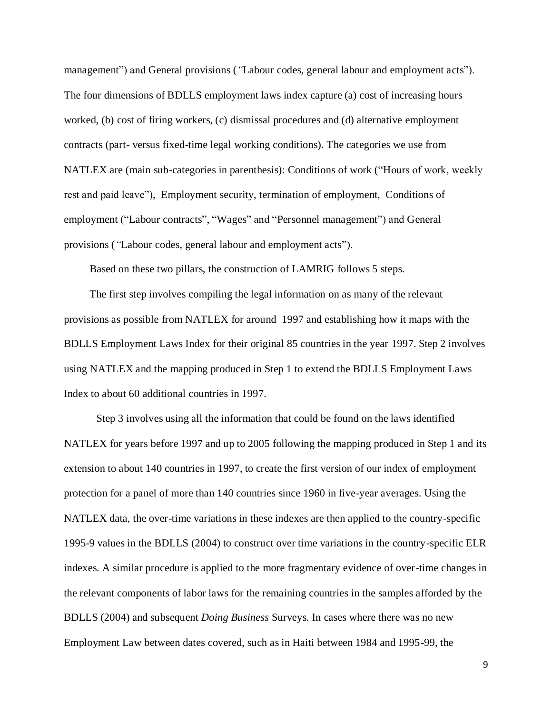management") and [General provisions](http://www.ilo.org/dyn/natlex/natlex_browse.subject?p_lang=en&p_classification=01) (*"*[Labour codes, general labour and employment acts"](http://www.ilo.org/dyn/natlex/natlex_browse.subject?p_lang=en&p_classification=01.02)). The four dimensions of BDLLS employment laws index capture (a) cost of increasing hours worked, (b) cost of firing workers, (c) dismissal procedures and (d) alternative employment contracts (part- versus fixed-time legal working conditions). The categories we use from NATLEX are (main sub-categories in parenthesis): Conditions of work ("Hours of work, weekly rest and paid leave"), [Employment security, termination of employment,](http://www.ilo.org/dyn/natlex/natlex_browse.subject?p_lang=en&p_classification=10) [Conditions of](http://www.ilo.org/dyn/natlex/natlex_browse.subject?p_lang=en&p_classification=12)  [employment](http://www.ilo.org/dyn/natlex/natlex_browse.subject?p_lang=en&p_classification=12) (["Labour contracts"](http://www.ilo.org/dyn/natlex/natlex_browse.subject?p_lang=en&p_classification=12.01), ["Wages"](http://www.ilo.org/dyn/natlex/natlex_browse.subject?p_lang=en&p_classification=12.02) and ["Personnel management"](http://www.ilo.org/dyn/natlex/natlex_browse.subject?p_lang=en&p_classification=12.03)) and [General](http://www.ilo.org/dyn/natlex/natlex_browse.subject?p_lang=en&p_classification=01)  [provisions](http://www.ilo.org/dyn/natlex/natlex_browse.subject?p_lang=en&p_classification=01) (*"*[Labour codes, general labour and employment acts"](http://www.ilo.org/dyn/natlex/natlex_browse.subject?p_lang=en&p_classification=01.02)).

Based on these two pillars, the construction of LAMRIG follows 5 steps.

The first step involves compiling the legal information on as many of the relevant provisions as possible from NATLEX for around 1997 and establishing how it maps with the BDLLS Employment Laws Index for their original 85 countries in the year 1997. Step 2 involves using NATLEX and the mapping produced in Step 1 to extend the BDLLS Employment Laws Index to about 60 additional countries in 1997.

Step 3 involves using all the information that could be found on the laws identified NATLEX for years before 1997 and up to 2005 following the mapping produced in Step 1 and its extension to about 140 countries in 1997, to create the first version of our index of employment protection for a panel of more than 140 countries since 1960 in five-year averages. Using the NATLEX data, the over-time variations in these indexes are then applied to the country-specific 1995-9 values in the BDLLS (2004) to construct over time variations in the country-specific ELR indexes. A similar procedure is applied to the more fragmentary evidence of over-time changes in the relevant components of labor laws for the remaining countries in the samples afforded by the BDLLS (2004) and subsequent *Doing Business* Surveys. In cases where there was no new Employment Law between dates covered, such as in Haiti between 1984 and 1995-99, the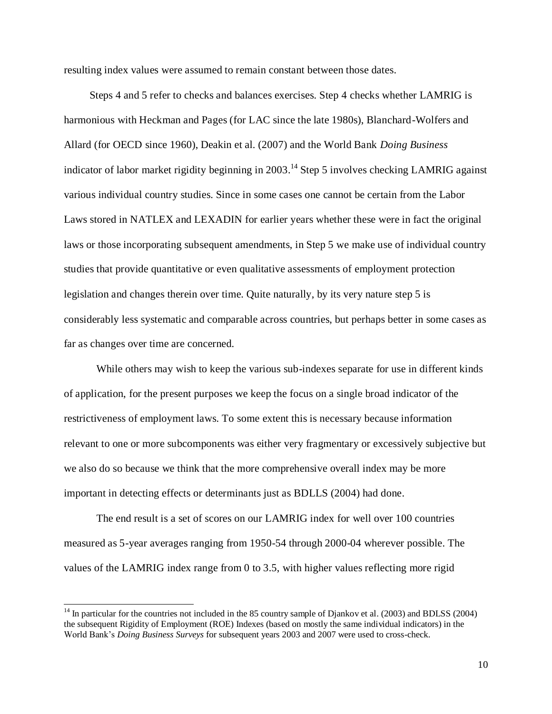resulting index values were assumed to remain constant between those dates.

Steps 4 and 5 refer to checks and balances exercises. Step 4 checks whether LAMRIG is harmonious with Heckman and Pages (for LAC since the late 1980s), Blanchard-Wolfers and Allard (for OECD since 1960), Deakin et al. (2007) and the World Bank *Doing Business* indicator of labor market rigidity beginning in 2003. <sup>14</sup> Step 5 involves checking LAMRIG against various individual country studies. Since in some cases one cannot be certain from the Labor Laws stored in NATLEX and LEXADIN for earlier years whether these were in fact the original laws or those incorporating subsequent amendments, in Step 5 we make use of individual country studies that provide quantitative or even qualitative assessments of employment protection legislation and changes therein over time. Quite naturally, by its very nature step 5 is considerably less systematic and comparable across countries, but perhaps better in some cases as far as changes over time are concerned.

While others may wish to keep the various sub-indexes separate for use in different kinds of application, for the present purposes we keep the focus on a single broad indicator of the restrictiveness of employment laws. To some extent this is necessary because information relevant to one or more subcomponents was either very fragmentary or excessively subjective but we also do so because we think that the more comprehensive overall index may be more important in detecting effects or determinants just as BDLLS (2004) had done.

The end result is a set of scores on our LAMRIG index for well over 100 countries measured as 5-year averages ranging from 1950-54 through 2000-04 wherever possible. The values of the LAMRIG index range from 0 to 3.5, with higher values reflecting more rigid

<sup>&</sup>lt;sup>14</sup> In particular for the countries not included in the 85 country sample of Djankov et al. (2003) and BDLSS (2004) the subsequent Rigidity of Employment (ROE) Indexes (based on mostly the same individual indicators) in the World Bank's *Doing Business Surveys* for subsequent years 2003 and 2007 were used to cross-check.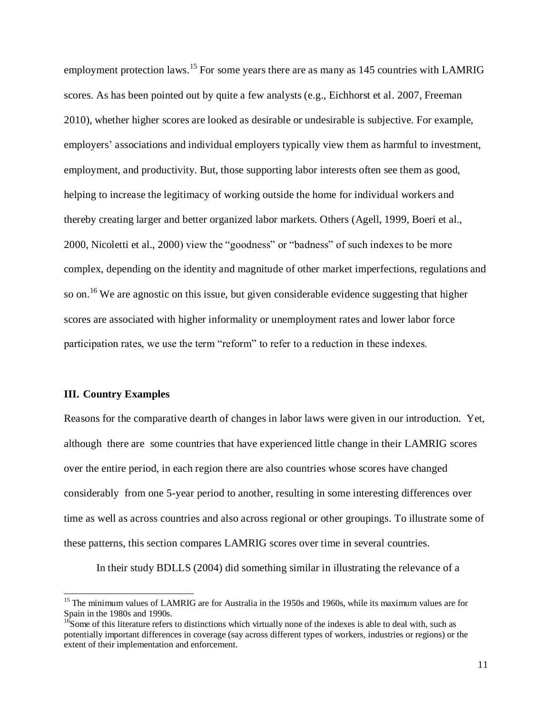employment protection laws.<sup>15</sup> For some years there are as many as  $145$  countries with LAMRIG scores. As has been pointed out by quite a few analysts (e.g., Eichhorst et al. 2007, Freeman 2010), whether higher scores are looked as desirable or undesirable is subjective. For example, employers' associations and individual employers typically view them as harmful to investment, employment, and productivity. But, those supporting labor interests often see them as good, helping to increase the legitimacy of working outside the home for individual workers and thereby creating larger and better organized labor markets. Others (Agell, 1999, Boeri et al., 2000, Nicoletti et al., 2000) view the "goodness" or "badness" of such indexes to be more complex, depending on the identity and magnitude of other market imperfections, regulations and so on.<sup>16</sup> We are agnostic on this issue, but given considerable evidence suggesting that higher scores are associated with higher informality or unemployment rates and lower labor force participation rates, we use the term "reform" to refer to a reduction in these indexes.

#### **III. Country Examples**

l

Reasons for the comparative dearth of changes in labor laws were given in our introduction. Yet, although there are some countries that have experienced little change in their LAMRIG scores over the entire period, in each region there are also countries whose scores have changed considerably from one 5-year period to another, resulting in some interesting differences over time as well as across countries and also across regional or other groupings. To illustrate some of these patterns, this section compares LAMRIG scores over time in several countries.

In their study BDLLS (2004) did something similar in illustrating the relevance of a

<sup>&</sup>lt;sup>15</sup> The minimum values of LAMRIG are for Australia in the 1950s and 1960s, while its maximum values are for Spain in the 1980s and 1990s.

 $16$ Some of this literature refers to distinctions which virtually none of the indexes is able to deal with, such as potentially important differences in coverage (say across different types of workers, industries or regions) or the extent of their implementation and enforcement.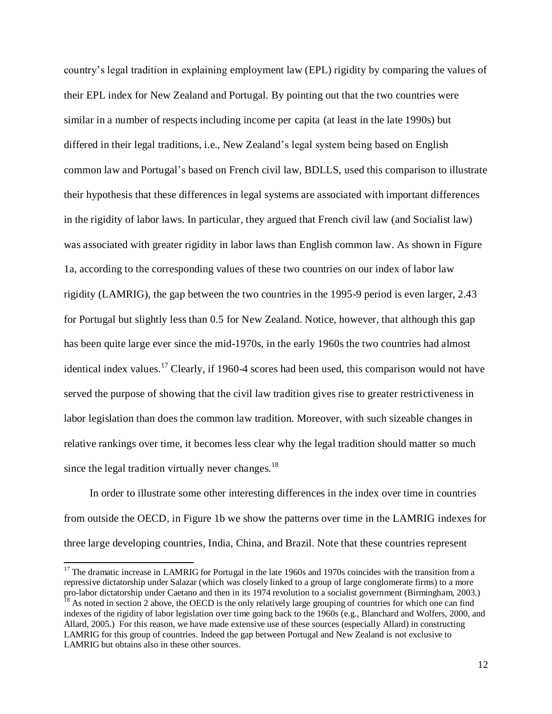country's legal tradition in explaining employment law (EPL) rigidity by comparing the values of their EPL index for New Zealand and Portugal. By pointing out that the two countries were similar in a number of respects including income per capita (at least in the late 1990s) but differed in their legal traditions, i.e., New Zealand's legal system being based on English common law and Portugal's based on French civil law, BDLLS, used this comparison to illustrate their hypothesis that these differences in legal systems are associated with important differences in the rigidity of labor laws. In particular, they argued that French civil law (and Socialist law) was associated with greater rigidity in labor laws than English common law. As shown in Figure 1a, according to the corresponding values of these two countries on our index of labor law rigidity (LAMRIG), the gap between the two countries in the 1995-9 period is even larger, 2.43 for Portugal but slightly less than 0.5 for New Zealand. Notice, however, that although this gap has been quite large ever since the mid-1970s, in the early 1960s the two countries had almost identical index values.<sup>17</sup> Clearly, if 1960-4 scores had been used, this comparison would not have served the purpose of showing that the civil law tradition gives rise to greater restrictiveness in labor legislation than does the common law tradition. Moreover, with such sizeable changes in relative rankings over time, it becomes less clear why the legal tradition should matter so much since the legal tradition virtually never changes.<sup>18</sup>

In order to illustrate some other interesting differences in the index over time in countries from outside the OECD, in Figure 1b we show the patterns over time in the LAMRIG indexes for three large developing countries, India, China, and Brazil. Note that these countries represent

<sup>&</sup>lt;sup>17</sup> The dramatic increase in LAMRIG for Portugal in the late 1960s and 1970s coincides with the transition from a repressive dictatorship under Salazar (which was closely linked to a group of large conglomerate firms) to a more pro-labor dictatorship under Caetano and then in its 1974 revolution to a socialist government (Birmingham, 2003.)

 $18$  As noted in section 2 above, the OECD is the only relatively large grouping of countries for which one can find indexes of the rigidity of labor legislation over time going back to the 1960s (e.g., Blanchard and Wolfers, 2000, and Allard, 2005.) For this reason, we have made extensive use of these sources (especially Allard) in constructing LAMRIG for this group of countries. Indeed the gap between Portugal and New Zealand is not exclusive to LAMRIG but obtains also in these other sources.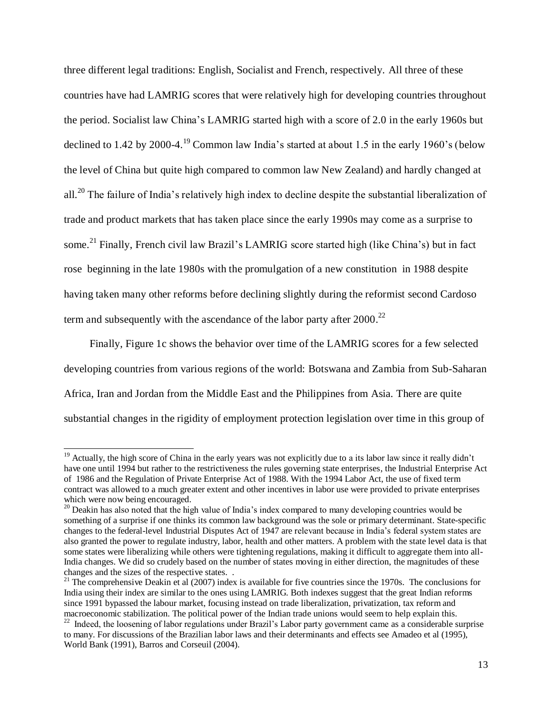three different legal traditions: English, Socialist and French, respectively. All three of these countries have had LAMRIG scores that were relatively high for developing countries throughout the period. Socialist law China's LAMRIG started high with a score of 2.0 in the early 1960s but declined to 1.42 by 2000-4.<sup>19</sup> Common law India's started at about 1.5 in the early 1960's (below the level of China but quite high compared to common law New Zealand) and hardly changed at all.<sup>20</sup> The failure of India's relatively high index to decline despite the substantial liberalization of trade and product markets that has taken place since the early 1990s may come as a surprise to some.<sup>21</sup> Finally, French civil law Brazil's LAMRIG score started high (like China's) but in fact rose beginning in the late 1980s with the promulgation of a new constitution in 1988 despite having taken many other reforms before declining slightly during the reformist second Cardoso term and subsequently with the ascendance of the labor party after  $2000.^{22}$ 

Finally, Figure 1c shows the behavior over time of the LAMRIG scores for a few selected developing countries from various regions of the world: Botswana and Zambia from Sub-Saharan Africa, Iran and Jordan from the Middle East and the Philippines from Asia. There are quite substantial changes in the rigidity of employment protection legislation over time in this group of

 $19$  Actually, the high score of China in the early years was not explicitly due to a its labor law since it really didn't have one until 1994 but rather to the restrictiveness the rules governing state enterprises, the Industrial Enterprise Act of 1986 and the Regulation of Private Enterprise Act of 1988. With the 1994 Labor Act, the use of fixed term contract was allowed to a much greater extent and other incentives in labor use were provided to private enterprises which were now being encouraged.

<sup>&</sup>lt;sup>20</sup> Deakin has also noted that the high value of India's index compared to many developing countries would be something of a surprise if one thinks its common law background was the sole or primary determinant. State-specific changes to the federal-level Industrial Disputes Act of 1947 are relevant because in India's federal system states are also granted the power to regulate industry, labor, health and other matters. A problem with the state level data is that some states were liberalizing while others were tightening regulations, making it difficult to aggregate them into all-India changes. We did so crudely based on the number of states moving in either direction, the magnitudes of these changes and the sizes of the respective states. .

 $21$  The comprehensive Deakin et al (2007) index is available for five countries since the 1970s. The conclusions for India using their index are similar to the ones using LAMRIG. Both indexes suggest that the great Indian reforms since 1991 bypassed the labour market, focusing instead on trade liberalization, privatization, tax reform and macroeconomic stabilization. The political power of the Indian trade unions would seem to help explain this.  $^{22}$  Indeed, the loosening of labor regulations under Brazil's Labor party government came as a considerable surprise

to many. For discussions of the Brazilian labor laws and their determinants and effects see Amadeo et al (1995), World Bank (1991), Barros and Corseuil (2004).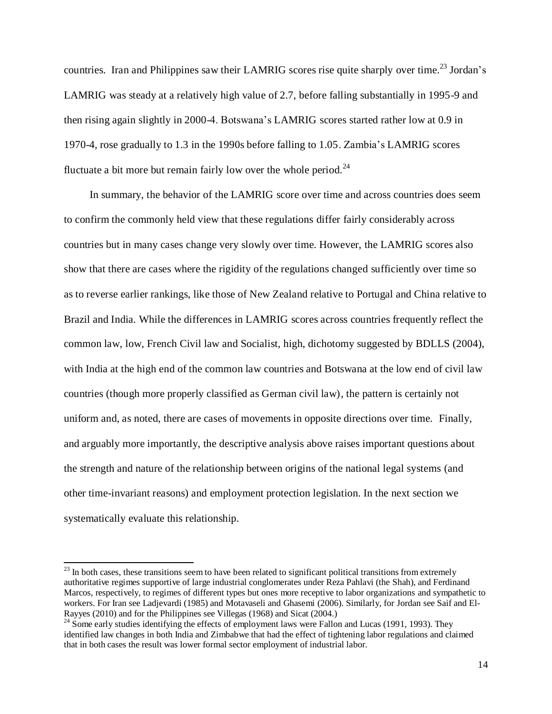countries. Iran and Philippines saw their LAMRIG scores rise quite sharply over time.<sup>23</sup> Jordan's LAMRIG was steady at a relatively high value of 2.7, before falling substantially in 1995-9 and then rising again slightly in 2000-4. Botswana's LAMRIG scores started rather low at 0.9 in 1970-4, rose gradually to 1.3 in the 1990s before falling to 1.05. Zambia's LAMRIG scores fluctuate a bit more but remain fairly low over the whole period.<sup>24</sup>

In summary, the behavior of the LAMRIG score over time and across countries does seem to confirm the commonly held view that these regulations differ fairly considerably across countries but in many cases change very slowly over time. However, the LAMRIG scores also show that there are cases where the rigidity of the regulations changed sufficiently over time so as to reverse earlier rankings, like those of New Zealand relative to Portugal and China relative to Brazil and India. While the differences in LAMRIG scores across countries frequently reflect the common law, low, French Civil law and Socialist, high, dichotomy suggested by BDLLS (2004), with India at the high end of the common law countries and Botswana at the low end of civil law countries (though more properly classified as German civil law), the pattern is certainly not uniform and, as noted, there are cases of movements in opposite directions over time. Finally, and arguably more importantly, the descriptive analysis above raises important questions about the strength and nature of the relationship between origins of the national legal systems (and other time-invariant reasons) and employment protection legislation. In the next section we systematically evaluate this relationship.

 $^{23}$  In both cases, these transitions seem to have been related to significant political transitions from extremely authoritative regimes supportive of large industrial conglomerates under Reza Pahlavi (the Shah), and Ferdinand Marcos, respectively, to regimes of different types but ones more receptive to labor organizations and sympathetic to workers. For Iran see Ladjevardi (1985) and Motavaseli and Ghasemi (2006). Similarly, for Jordan see Saif and El-Rayyes (2010) and for the Philippines see Villegas (1968) and Sicat (2004.)

 $24$  Some early studies identifying the effects of employment laws were Fallon and Lucas (1991, 1993). They identified law changes in both India and Zimbabwe that had the effect of tightening labor regulations and claimed that in both cases the result was lower formal sector employment of industrial labor.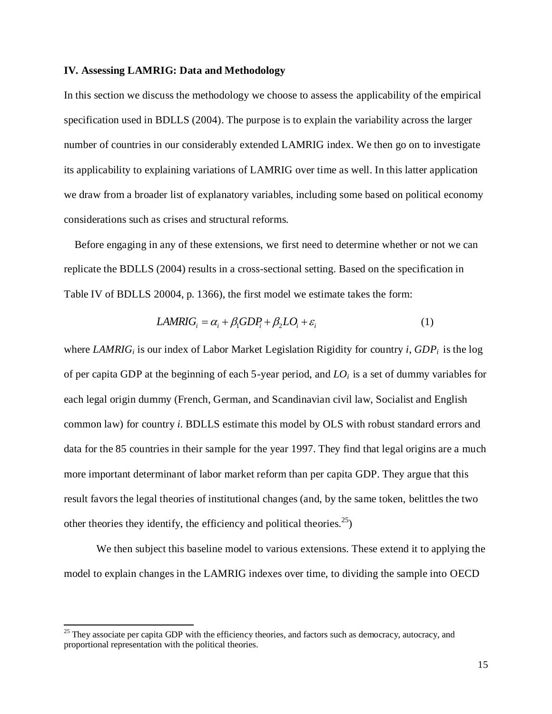#### **IV. Assessing LAMRIG: Data and Methodology**

In this section we discuss the methodology we choose to assess the applicability of the empirical specification used in BDLLS (2004). The purpose is to explain the variability across the larger number of countries in our considerably extended LAMRIG index. We then go on to investigate its applicability to explaining variations of LAMRIG over time as well. In this latter application we draw from a broader list of explanatory variables, including some based on political economy considerations such as crises and structural reforms.

 Before engaging in any of these extensions, we first need to determine whether or not we can replicate the BDLLS (2004) results in a cross-sectional setting. Based on the specification in Table IV of BDLLS 20004, p. 1366), the first model we estimate takes the form:

$$
LAMRIG_i = \alpha_i + \beta_1 GDP_i + \beta_2 LO_i + \varepsilon_i \tag{1}
$$

where *LAMRIG<sup>i</sup>* is our index of Labor Market Legislation Rigidity for country *i*, *GDP<sup>i</sup>* is the log of per capita GDP at the beginning of each 5-year period, and *LOi* is a set of dummy variables for each legal origin dummy (French, German, and Scandinavian civil law, Socialist and English common law) for country *i*. BDLLS estimate this model by OLS with robust standard errors and data for the 85 countries in their sample for the year 1997. They find that legal origins are a much more important determinant of labor market reform than per capita GDP. They argue that this result favors the legal theories of institutional changes (and, by the same token, belittles the two other theories they identify, the efficiency and political theories.<sup>25</sup>)

We then subject this baseline model to various extensions. These extend it to applying the model to explain changes in the LAMRIG indexes over time, to dividing the sample into OECD

<sup>&</sup>lt;sup>25</sup> They associate per capita GDP with the efficiency theories, and factors such as democracy, autocracy, and proportional representation with the political theories.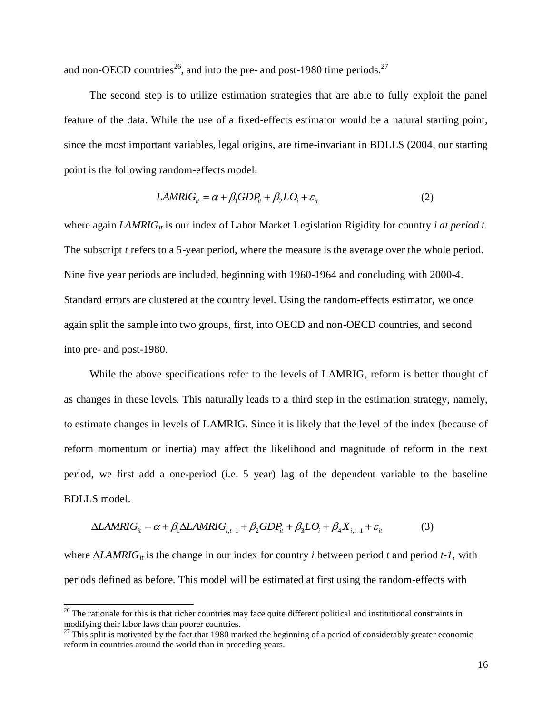and non-OECD countries<sup>26</sup>, and into the pre- and post-1980 time periods.<sup>27</sup>

The second step is to utilize estimation strategies that are able to fully exploit the panel feature of the data. While the use of a fixed-effects estimator would be a natural starting point, since the most important variables, legal origins, are time-invariant in BDLLS (2004, our starting point is the following random-effects model:

$$
LAMRIG_{it} = \alpha + \beta_1 GDP_{it} + \beta_2 LO_i + \varepsilon_{it}
$$
\n(2)

where again *LAMRIG<sub>it</sub>* is our index of Labor Market Legislation Rigidity for country *i at period t.* The subscript *t* refers to a 5-year period, where the measure is the average over the whole period. Nine five year periods are included, beginning with 1960-1964 and concluding with 2000-4. Standard errors are clustered at the country level. Using the random-effects estimator, we once again split the sample into two groups, first, into OECD and non-OECD countries, and second into pre- and post-1980.

While the above specifications refer to the levels of LAMRIG, reform is better thought of as changes in these levels. This naturally leads to a third step in the estimation strategy, namely, to estimate changes in levels of LAMRIG. Since it is likely that the level of the index (because of reform momentum or inertia) may affect the likelihood and magnitude of reform in the next period, we first add a one-period (i.e. 5 year) lag of the dependent variable to the baseline BDLLS model.

$$
\Delta LAMRIG_{it} = \alpha + \beta_1 \Delta LAMRIG_{i,t-1} + \beta_2 GDP_{it} + \beta_3 LO_i + \beta_4 X_{i,t-1} + \varepsilon_{it}
$$
(3)

where Δ*LAMRIGit* is the change in our index for country *i* between period *t* and period *t-1*, with periods defined as before. This model will be estimated at first using the random-effects with

 $26$  The rationale for this is that richer countries may face quite different political and institutional constraints in modifying their labor laws than poorer countries.

 $^{27}$  This split is motivated by the fact that 1980 marked the beginning of a period of considerably greater economic reform in countries around the world than in preceding years.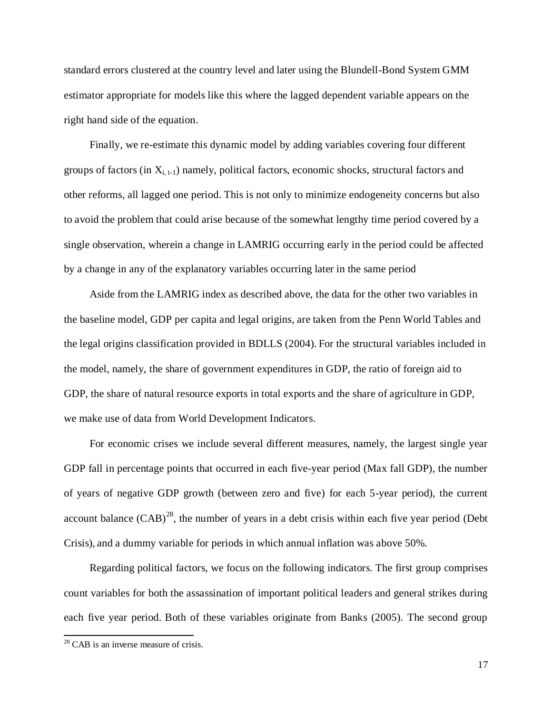standard errors clustered at the country level and later using the Blundell-Bond System GMM estimator appropriate for models like this where the lagged dependent variable appears on the right hand side of the equation.

Finally, we re-estimate this dynamic model by adding variables covering four different groups of factors (in  $X_{i,t-1}$ ) namely, political factors, economic shocks, structural factors and other reforms, all lagged one period. This is not only to minimize endogeneity concerns but also to avoid the problem that could arise because of the somewhat lengthy time period covered by a single observation, wherein a change in LAMRIG occurring early in the period could be affected by a change in any of the explanatory variables occurring later in the same period

Aside from the LAMRIG index as described above, the data for the other two variables in the baseline model, GDP per capita and legal origins, are taken from the Penn World Tables and the legal origins classification provided in BDLLS (2004). For the structural variables included in the model, namely, the share of government expenditures in GDP, the ratio of foreign aid to GDP, the share of natural resource exports in total exports and the share of agriculture in GDP, we make use of data from World Development Indicators.

For economic crises we include several different measures, namely, the largest single year GDP fall in percentage points that occurred in each five-year period (Max fall GDP), the number of years of negative GDP growth (between zero and five) for each 5-year period), the current account balance  $(CAB)^{28}$ , the number of years in a debt crisis within each five year period (Debt Crisis), and a dummy variable for periods in which annual inflation was above 50%.

Regarding political factors, we focus on the following indicators. The first group comprises count variables for both the assassination of important political leaders and general strikes during each five year period. Both of these variables originate from Banks (2005). The second group

 $28$  CAB is an inverse measure of crisis.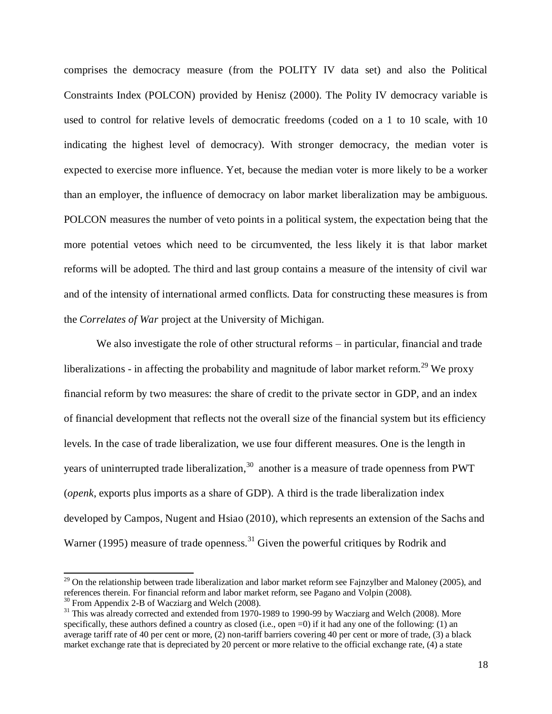comprises the democracy measure (from the POLITY IV data set) and also the Political Constraints Index (POLCON) provided by Henisz (2000). The Polity IV democracy variable is used to control for relative levels of democratic freedoms (coded on a 1 to 10 scale, with 10 indicating the highest level of democracy). With stronger democracy, the median voter is expected to exercise more influence. Yet, because the median voter is more likely to be a worker than an employer, the influence of democracy on labor market liberalization may be ambiguous. POLCON measures the number of veto points in a political system, the expectation being that the more potential vetoes which need to be circumvented, the less likely it is that labor market reforms will be adopted. The third and last group contains a measure of the intensity of civil war and of the intensity of international armed conflicts. Data for constructing these measures is from the *Correlates of War* project at the University of Michigan.

We also investigate the role of other structural reforms – in particular, financial and trade liberalizations - in affecting the probability and magnitude of labor market reform.<sup>29</sup> We proxy financial reform by two measures: the share of credit to the private sector in GDP, and an index of financial development that reflects not the overall size of the financial system but its efficiency levels. In the case of trade liberalization, we use four different measures. One is the length in years of uninterrupted trade liberalization,<sup>30</sup> another is a measure of trade openness from PWT (*openk*, exports plus imports as a share of GDP). A third is the trade liberalization index developed by Campos, Nugent and Hsiao (2010), which represents an extension of the Sachs and Warner (1995) measure of trade openness.<sup>31</sup> Given the powerful critiques by Rodrik and

 $^{29}$  On the relationship between trade liberalization and labor market reform see Fajnzylber and Maloney (2005), and references therein. For financial reform and labor market reform, see Pagano and Volpin (2008). <sup>30</sup> From Appendix 2-B of Wacziarg and Welch (2008).

<sup>&</sup>lt;sup>31</sup> This was already corrected and extended from 1970-1989 to 1990-99 by Wacziarg and Welch (2008). More specifically, these authors defined a country as closed (i.e., open  $=0$ ) if it had any one of the following: (1) an average tariff rate of 40 per cent or more, (2) non-tariff barriers covering 40 per cent or more of trade, (3) a black market exchange rate that is depreciated by 20 percent or more relative to the official exchange rate, (4) a state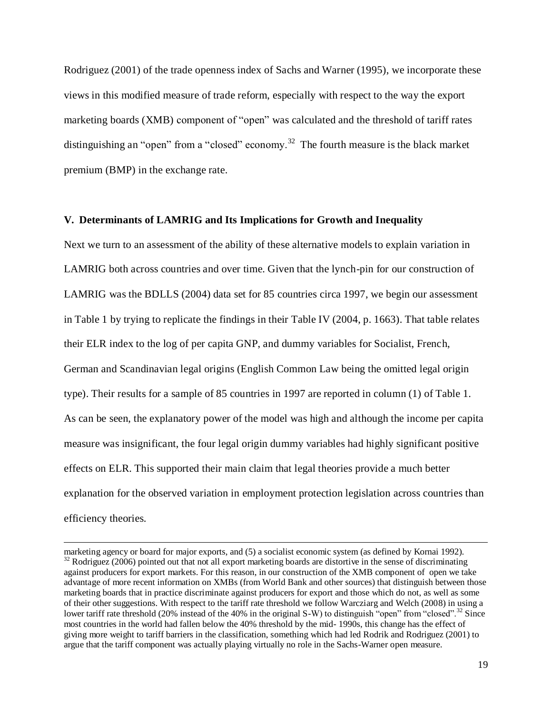Rodriguez (2001) of the trade openness index of Sachs and Warner (1995), we incorporate these views in this modified measure of trade reform, especially with respect to the way the export marketing boards (XMB) component of "open" was calculated and the threshold of tariff rates distinguishing an "open" from a "closed" economy.<sup>32</sup> The fourth measure is the black market premium (BMP) in the exchange rate.

#### **V. Determinants of LAMRIG and Its Implications for Growth and Inequality**

Next we turn to an assessment of the ability of these alternative models to explain variation in LAMRIG both across countries and over time. Given that the lynch-pin for our construction of LAMRIG was the BDLLS (2004) data set for 85 countries circa 1997, we begin our assessment in Table 1 by trying to replicate the findings in their Table IV (2004, p. 1663). That table relates their ELR index to the log of per capita GNP, and dummy variables for Socialist, French, German and Scandinavian legal origins (English Common Law being the omitted legal origin type). Their results for a sample of 85 countries in 1997 are reported in column (1) of Table 1. As can be seen, the explanatory power of the model was high and although the income per capita measure was insignificant, the four legal origin dummy variables had highly significant positive effects on ELR. This supported their main claim that legal theories provide a much better explanation for the observed variation in employment protection legislation across countries than efficiency theories.

marketing agency or board for major exports, and (5) a socialist economic system (as defined by Kornai 1992).  $32$  Rodriguez (2006) pointed out that not all export marketing boards are distortive in the sense of discriminating against producers for export markets. For this reason, in our construction of the XMB component of open we take advantage of more recent information on XMBs (from World Bank and other sources) that distinguish between those marketing boards that in practice discriminate against producers for export and those which do not, as well as some of their other suggestions. With respect to the tariff rate threshold we follow Warcziarg and Welch (2008) in using a lower tariff rate threshold (20% instead of the 40% in the original S-W) to distinguish "open" from "closed".<sup>32</sup> Since most countries in the world had fallen below the 40% threshold by the mid- 1990s, this change has the effect of giving more weight to tariff barriers in the classification, something which had led Rodrik and Rodriguez (2001) to argue that the tariff component was actually playing virtually no role in the Sachs-Warner open measure.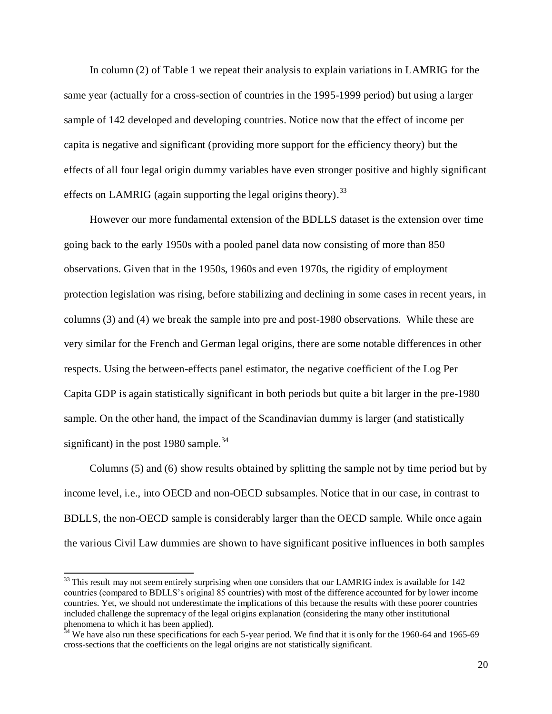In column (2) of Table 1 we repeat their analysis to explain variations in LAMRIG for the same year (actually for a cross-section of countries in the 1995-1999 period) but using a larger sample of 142 developed and developing countries. Notice now that the effect of income per capita is negative and significant (providing more support for the efficiency theory) but the effects of all four legal origin dummy variables have even stronger positive and highly significant effects on LAMRIG (again supporting the legal origins theory).<sup>33</sup>

However our more fundamental extension of the BDLLS dataset is the extension over time going back to the early 1950s with a pooled panel data now consisting of more than 850 observations. Given that in the 1950s, 1960s and even 1970s, the rigidity of employment protection legislation was rising, before stabilizing and declining in some cases in recent years, in columns (3) and (4) we break the sample into pre and post-1980 observations. While these are very similar for the French and German legal origins, there are some notable differences in other respects. Using the between-effects panel estimator, the negative coefficient of the Log Per Capita GDP is again statistically significant in both periods but quite a bit larger in the pre-1980 sample. On the other hand, the impact of the Scandinavian dummy is larger (and statistically significant) in the post 1980 sample.<sup>34</sup>

Columns (5) and (6) show results obtained by splitting the sample not by time period but by income level, i.e., into OECD and non-OECD subsamples. Notice that in our case, in contrast to BDLLS, the non-OECD sample is considerably larger than the OECD sample. While once again the various Civil Law dummies are shown to have significant positive influences in both samples

 $33$  This result may not seem entirely surprising when one considers that our LAMRIG index is available for 142 countries (compared to BDLLS's original 85 countries) with most of the difference accounted for by lower income countries. Yet, we should not underestimate the implications of this because the results with these poorer countries included challenge the supremacy of the legal origins explanation (considering the many other institutional phenomena to which it has been applied).

 $34$  We have also run these specifications for each 5-year period. We find that it is only for the 1960-64 and 1965-69 cross-sections that the coefficients on the legal origins are not statistically significant.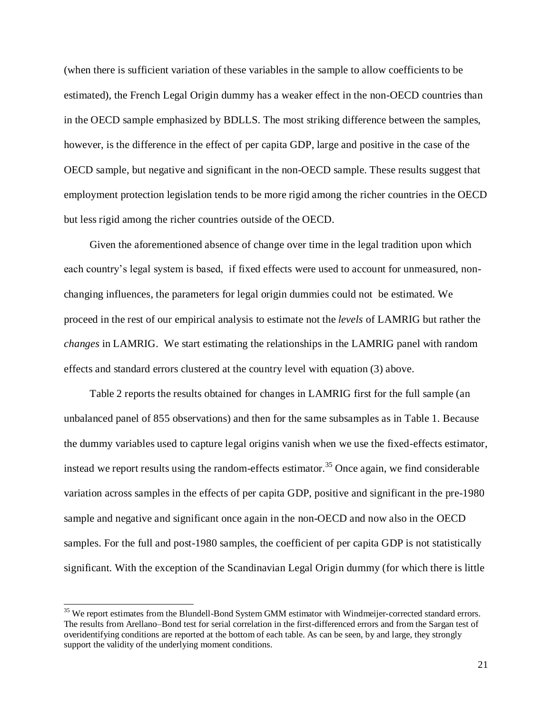(when there is sufficient variation of these variables in the sample to allow coefficients to be estimated), the French Legal Origin dummy has a weaker effect in the non-OECD countries than in the OECD sample emphasized by BDLLS. The most striking difference between the samples, however, is the difference in the effect of per capita GDP, large and positive in the case of the OECD sample, but negative and significant in the non-OECD sample. These results suggest that employment protection legislation tends to be more rigid among the richer countries in the OECD but less rigid among the richer countries outside of the OECD.

Given the aforementioned absence of change over time in the legal tradition upon which each country's legal system is based, if fixed effects were used to account for unmeasured, nonchanging influences, the parameters for legal origin dummies could not be estimated. We proceed in the rest of our empirical analysis to estimate not the *levels* of LAMRIG but rather the *changes* in LAMRIG. We start estimating the relationships in the LAMRIG panel with random effects and standard errors clustered at the country level with equation (3) above.

Table 2 reports the results obtained for changes in LAMRIG first for the full sample (an unbalanced panel of 855 observations) and then for the same subsamples as in Table 1. Because the dummy variables used to capture legal origins vanish when we use the fixed-effects estimator, instead we report results using the random-effects estimator.<sup>35</sup> Once again, we find considerable variation across samples in the effects of per capita GDP, positive and significant in the pre-1980 sample and negative and significant once again in the non-OECD and now also in the OECD samples. For the full and post-1980 samples, the coefficient of per capita GDP is not statistically significant. With the exception of the Scandinavian Legal Origin dummy (for which there is little

<sup>&</sup>lt;sup>35</sup> We report estimates from the Blundell-Bond System GMM estimator with Windmeijer-corrected standard errors. The results from Arellano–Bond test for serial correlation in the first-differenced errors and from the Sargan test of overidentifying conditions are reported at the bottom of each table. As can be seen, by and large, they strongly support the validity of the underlying moment conditions.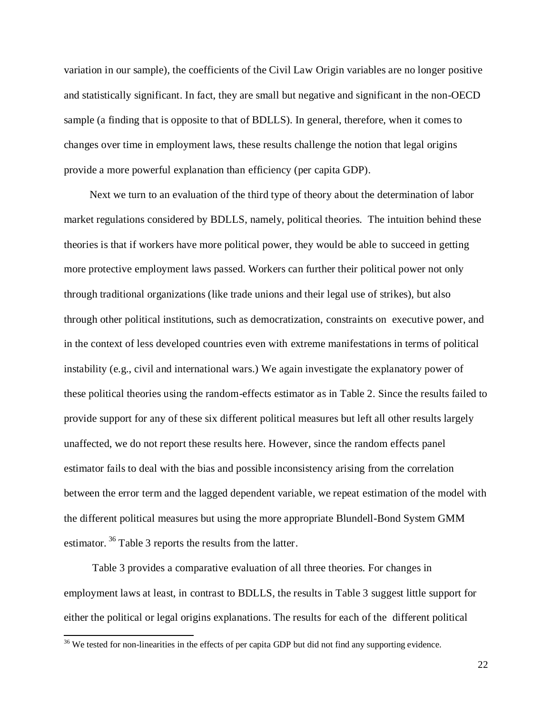variation in our sample), the coefficients of the Civil Law Origin variables are no longer positive and statistically significant. In fact, they are small but negative and significant in the non-OECD sample (a finding that is opposite to that of BDLLS). In general, therefore, when it comes to changes over time in employment laws, these results challenge the notion that legal origins provide a more powerful explanation than efficiency (per capita GDP).

Next we turn to an evaluation of the third type of theory about the determination of labor market regulations considered by BDLLS, namely, political theories. The intuition behind these theories is that if workers have more political power, they would be able to succeed in getting more protective employment laws passed. Workers can further their political power not only through traditional organizations (like trade unions and their legal use of strikes), but also through other political institutions, such as democratization, constraints on executive power, and in the context of less developed countries even with extreme manifestations in terms of political instability (e.g., civil and international wars.) We again investigate the explanatory power of these political theories using the random-effects estimator as in Table 2. Since the results failed to provide support for any of these six different political measures but left all other results largely unaffected, we do not report these results here. However, since the random effects panel estimator fails to deal with the bias and possible inconsistency arising from the correlation between the error term and the lagged dependent variable, we repeat estimation of the model with the different political measures but using the more appropriate Blundell-Bond System GMM estimator.<sup>36</sup> Table 3 reports the results from the latter.

Table 3 provides a comparative evaluation of all three theories. For changes in employment laws at least, in contrast to BDLLS, the results in Table 3 suggest little support for either the political or legal origins explanations. The results for each of the different political

 $\overline{\phantom{a}}$ 

<sup>&</sup>lt;sup>36</sup> We tested for non-linearities in the effects of per capita GDP but did not find any supporting evidence.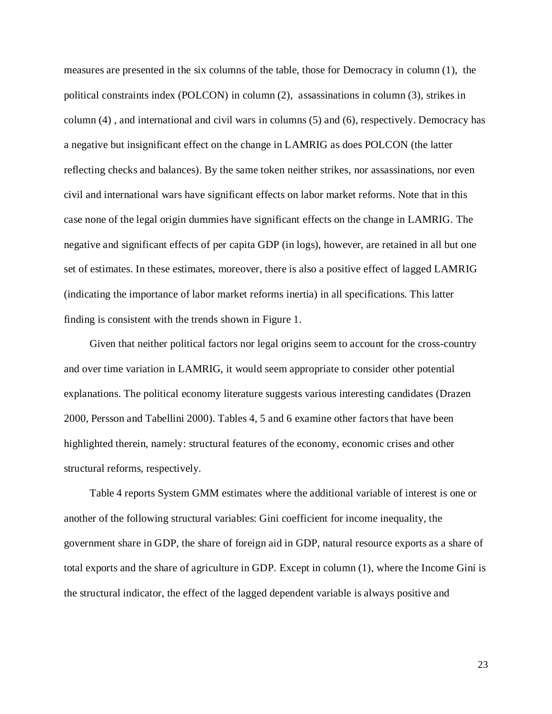measures are presented in the six columns of the table, those for Democracy in column (1), the political constraints index (POLCON) in column (2), assassinations in column (3), strikes in column (4) , and international and civil wars in columns (5) and (6), respectively. Democracy has a negative but insignificant effect on the change in LAMRIG as does POLCON (the latter reflecting checks and balances). By the same token neither strikes, nor assassinations, nor even civil and international wars have significant effects on labor market reforms. Note that in this case none of the legal origin dummies have significant effects on the change in LAMRIG. The negative and significant effects of per capita GDP (in logs), however, are retained in all but one set of estimates. In these estimates, moreover, there is also a positive effect of lagged LAMRIG (indicating the importance of labor market reforms inertia) in all specifications. This latter finding is consistent with the trends shown in Figure 1.

Given that neither political factors nor legal origins seem to account for the cross-country and over time variation in LAMRIG, it would seem appropriate to consider other potential explanations. The political economy literature suggests various interesting candidates (Drazen 2000, Persson and Tabellini 2000). Tables 4, 5 and 6 examine other factors that have been highlighted therein, namely: structural features of the economy, economic crises and other structural reforms, respectively.

Table 4 reports System GMM estimates where the additional variable of interest is one or another of the following structural variables: Gini coefficient for income inequality, the government share in GDP, the share of foreign aid in GDP, natural resource exports as a share of total exports and the share of agriculture in GDP. Except in column (1), where the Income Gini is the structural indicator, the effect of the lagged dependent variable is always positive and

23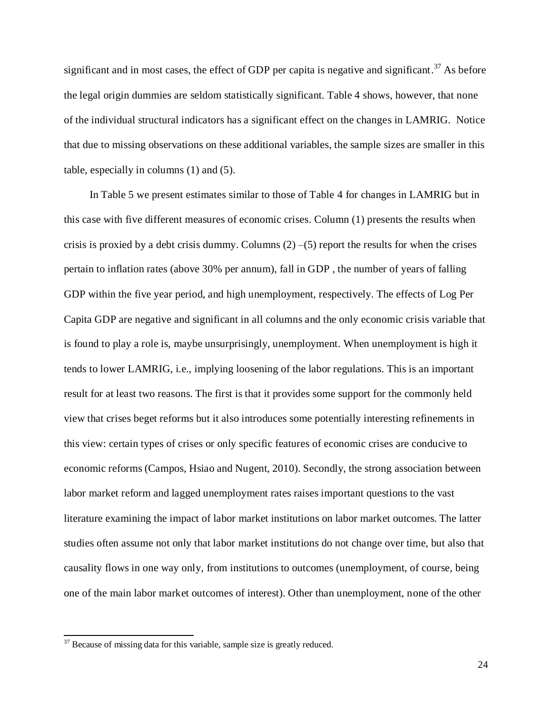significant and in most cases, the effect of GDP per capita is negative and significant.<sup>37</sup> As before the legal origin dummies are seldom statistically significant. Table 4 shows, however, that none of the individual structural indicators has a significant effect on the changes in LAMRIG. Notice that due to missing observations on these additional variables, the sample sizes are smaller in this table, especially in columns (1) and (5).

In Table 5 we present estimates similar to those of Table 4 for changes in LAMRIG but in this case with five different measures of economic crises. Column (1) presents the results when crisis is proxied by a debt crisis dummy. Columns  $(2)$  –(5) report the results for when the crises pertain to inflation rates (above 30% per annum), fall in GDP , the number of years of falling GDP within the five year period, and high unemployment, respectively. The effects of Log Per Capita GDP are negative and significant in all columns and the only economic crisis variable that is found to play a role is, maybe unsurprisingly, unemployment. When unemployment is high it tends to lower LAMRIG, i.e., implying loosening of the labor regulations. This is an important result for at least two reasons. The first is that it provides some support for the commonly held view that crises beget reforms but it also introduces some potentially interesting refinements in this view: certain types of crises or only specific features of economic crises are conducive to economic reforms (Campos, Hsiao and Nugent, 2010). Secondly, the strong association between labor market reform and lagged unemployment rates raises important questions to the vast literature examining the impact of labor market institutions on labor market outcomes. The latter studies often assume not only that labor market institutions do not change over time, but also that causality flows in one way only, from institutions to outcomes (unemployment, of course, being one of the main labor market outcomes of interest). Other than unemployment, none of the other

 $\overline{\phantom{a}}$ 

 $37$  Because of missing data for this variable, sample size is greatly reduced.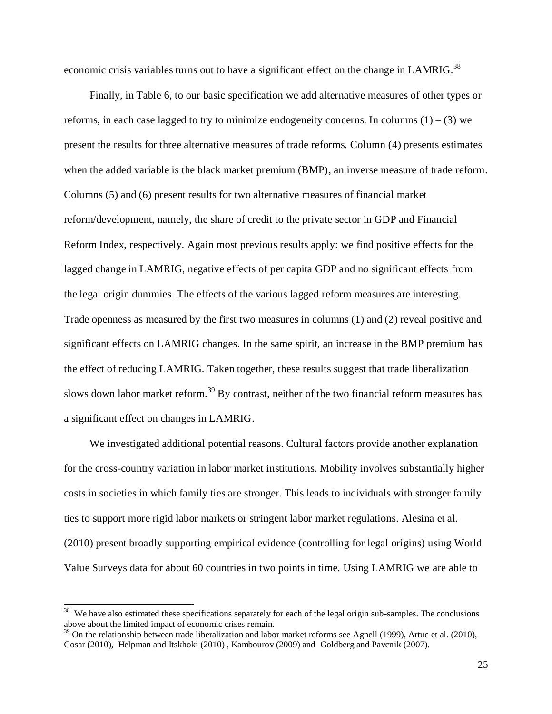economic crisis variables turns out to have a significant effect on the change in LAMRIG.<sup>38</sup>

Finally, in Table 6, to our basic specification we add alternative measures of other types or reforms, in each case lagged to try to minimize endogeneity concerns. In columns  $(1) - (3)$  we present the results for three alternative measures of trade reforms. Column (4) presents estimates when the added variable is the black market premium (BMP), an inverse measure of trade reform. Columns (5) and (6) present results for two alternative measures of financial market reform/development, namely, the share of credit to the private sector in GDP and Financial Reform Index, respectively. Again most previous results apply: we find positive effects for the lagged change in LAMRIG, negative effects of per capita GDP and no significant effects from the legal origin dummies. The effects of the various lagged reform measures are interesting. Trade openness as measured by the first two measures in columns (1) and (2) reveal positive and significant effects on LAMRIG changes. In the same spirit, an increase in the BMP premium has the effect of reducing LAMRIG. Taken together, these results suggest that trade liberalization slows down labor market reform.<sup>39</sup> By contrast, neither of the two financial reform measures has a significant effect on changes in LAMRIG.

We investigated additional potential reasons. Cultural factors provide another explanation for the cross-country variation in labor market institutions. Mobility involves substantially higher costs in societies in which family ties are stronger. This leads to individuals with stronger family ties to support more rigid labor markets or stringent labor market regulations. Alesina et al. (2010) present broadly supporting empirical evidence (controlling for legal origins) using World Value Surveys data for about 60 countries in two points in time. Using LAMRIG we are able to

<sup>&</sup>lt;sup>38</sup> We have also estimated these specifications separately for each of the legal origin sub-samples. The conclusions above about the limited impact of economic crises remain.

 $39$  On the relationship between trade liberalization and labor market reforms see Agnell (1999), Artuc et al. (2010), Cosar (2010), Helpman and Itskhoki (2010) , Kambourov (2009) and Goldberg and Pavcnik (2007).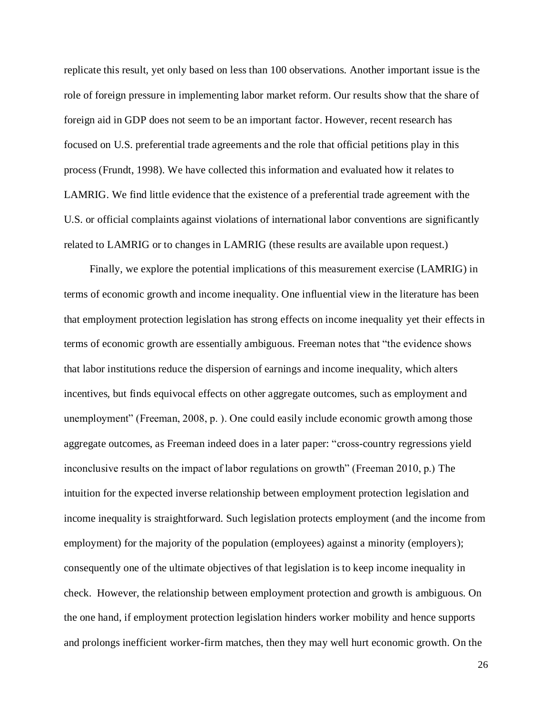replicate this result, yet only based on less than 100 observations. Another important issue is the role of foreign pressure in implementing labor market reform. Our results show that the share of foreign aid in GDP does not seem to be an important factor. However, recent research has focused on U.S. preferential trade agreements and the role that official petitions play in this process (Frundt, 1998). We have collected this information and evaluated how it relates to LAMRIG. We find little evidence that the existence of a preferential trade agreement with the U.S. or official complaints against violations of international labor conventions are significantly related to LAMRIG or to changes in LAMRIG (these results are available upon request.)

Finally, we explore the potential implications of this measurement exercise (LAMRIG) in terms of economic growth and income inequality. One influential view in the literature has been that employment protection legislation has strong effects on income inequality yet their effects in terms of economic growth are essentially ambiguous. Freeman notes that "the evidence shows that labor institutions reduce the dispersion of earnings and income inequality, which alters incentives, but finds equivocal effects on other aggregate outcomes, such as employment and unemployment" (Freeman, 2008, p. ). One could easily include economic growth among those aggregate outcomes, as Freeman indeed does in a later paper: "cross-country regressions yield inconclusive results on the impact of labor regulations on growth" (Freeman 2010, p.) The intuition for the expected inverse relationship between employment protection legislation and income inequality is straightforward. Such legislation protects employment (and the income from employment) for the majority of the population (employees) against a minority (employers); consequently one of the ultimate objectives of that legislation is to keep income inequality in check. However, the relationship between employment protection and growth is ambiguous. On the one hand, if employment protection legislation hinders worker mobility and hence supports and prolongs inefficient worker-firm matches, then they may well hurt economic growth. On the

26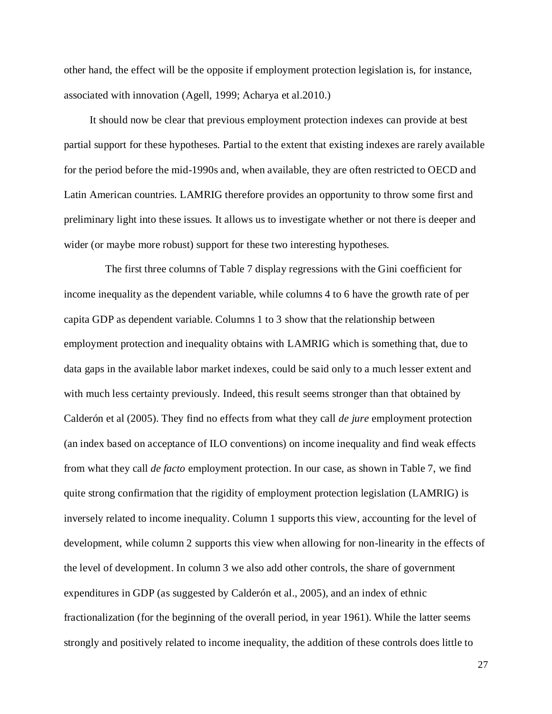other hand, the effect will be the opposite if employment protection legislation is, for instance, associated with innovation (Agell, 1999; Acharya et al.2010.)

It should now be clear that previous employment protection indexes can provide at best partial support for these hypotheses. Partial to the extent that existing indexes are rarely available for the period before the mid-1990s and, when available, they are often restricted to OECD and Latin American countries. LAMRIG therefore provides an opportunity to throw some first and preliminary light into these issues. It allows us to investigate whether or not there is deeper and wider (or maybe more robust) support for these two interesting hypotheses.

The first three columns of Table 7 display regressions with the Gini coefficient for income inequality as the dependent variable, while columns 4 to 6 have the growth rate of per capita GDP as dependent variable. Columns 1 to 3 show that the relationship between employment protection and inequality obtains with LAMRIG which is something that, due to data gaps in the available labor market indexes, could be said only to a much lesser extent and with much less certainty previously. Indeed, this result seems stronger than that obtained by Calderón et al (2005). They find no effects from what they call *de jure* employment protection (an index based on acceptance of ILO conventions) on income inequality and find weak effects from what they call *de facto* employment protection. In our case, as shown in Table 7, we find quite strong confirmation that the rigidity of employment protection legislation (LAMRIG) is inversely related to income inequality. Column 1 supports this view, accounting for the level of development, while column 2 supports this view when allowing for non-linearity in the effects of the level of development. In column 3 we also add other controls, the share of government expenditures in GDP (as suggested by Calderón et al., 2005), and an index of ethnic fractionalization (for the beginning of the overall period, in year 1961). While the latter seems strongly and positively related to income inequality, the addition of these controls does little to

27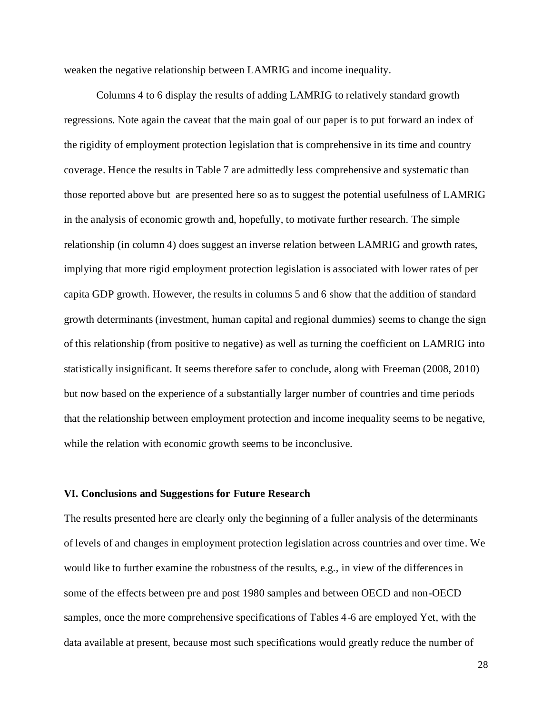weaken the negative relationship between LAMRIG and income inequality.

Columns 4 to 6 display the results of adding LAMRIG to relatively standard growth regressions. Note again the caveat that the main goal of our paper is to put forward an index of the rigidity of employment protection legislation that is comprehensive in its time and country coverage. Hence the results in Table 7 are admittedly less comprehensive and systematic than those reported above but are presented here so as to suggest the potential usefulness of LAMRIG in the analysis of economic growth and, hopefully, to motivate further research. The simple relationship (in column 4) does suggest an inverse relation between LAMRIG and growth rates, implying that more rigid employment protection legislation is associated with lower rates of per capita GDP growth. However, the results in columns 5 and 6 show that the addition of standard growth determinants (investment, human capital and regional dummies) seems to change the sign of this relationship (from positive to negative) as well as turning the coefficient on LAMRIG into statistically insignificant. It seems therefore safer to conclude, along with Freeman (2008, 2010) but now based on the experience of a substantially larger number of countries and time periods that the relationship between employment protection and income inequality seems to be negative, while the relation with economic growth seems to be inconclusive.

#### **VI. Conclusions and Suggestions for Future Research**

The results presented here are clearly only the beginning of a fuller analysis of the determinants of levels of and changes in employment protection legislation across countries and over time. We would like to further examine the robustness of the results, e.g., in view of the differences in some of the effects between pre and post 1980 samples and between OECD and non-OECD samples, once the more comprehensive specifications of Tables 4-6 are employed Yet, with the data available at present, because most such specifications would greatly reduce the number of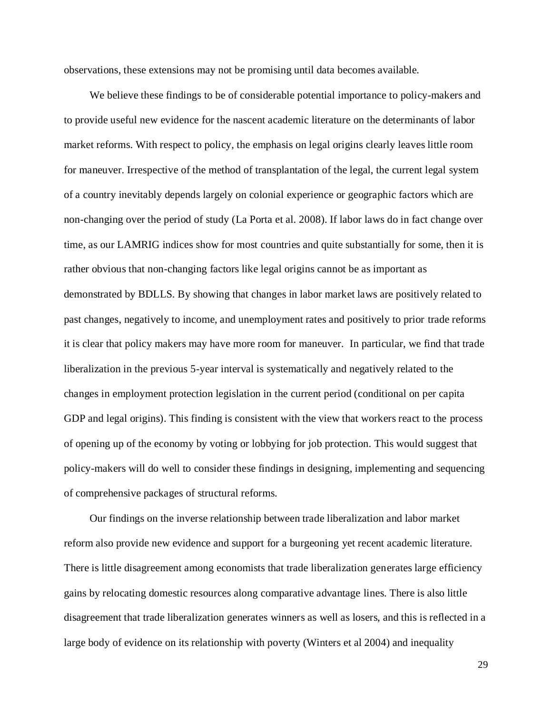observations, these extensions may not be promising until data becomes available.

We believe these findings to be of considerable potential importance to policy-makers and to provide useful new evidence for the nascent academic literature on the determinants of labor market reforms. With respect to policy, the emphasis on legal origins clearly leaves little room for maneuver. Irrespective of the method of transplantation of the legal, the current legal system of a country inevitably depends largely on colonial experience or geographic factors which are non-changing over the period of study (La Porta et al. 2008). If labor laws do in fact change over time, as our LAMRIG indices show for most countries and quite substantially for some, then it is rather obvious that non-changing factors like legal origins cannot be as important as demonstrated by BDLLS. By showing that changes in labor market laws are positively related to past changes, negatively to income, and unemployment rates and positively to prior trade reforms it is clear that policy makers may have more room for maneuver. In particular, we find that trade liberalization in the previous 5-year interval is systematically and negatively related to the changes in employment protection legislation in the current period (conditional on per capita GDP and legal origins). This finding is consistent with the view that workers react to the process of opening up of the economy by voting or lobbying for job protection. This would suggest that policy-makers will do well to consider these findings in designing, implementing and sequencing of comprehensive packages of structural reforms.

Our findings on the inverse relationship between trade liberalization and labor market reform also provide new evidence and support for a burgeoning yet recent academic literature. There is little disagreement among economists that trade liberalization generates large efficiency gains by relocating domestic resources along comparative advantage lines. There is also little disagreement that trade liberalization generates winners as well as losers, and this is reflected in a large body of evidence on its relationship with poverty (Winters et al 2004) and inequality

29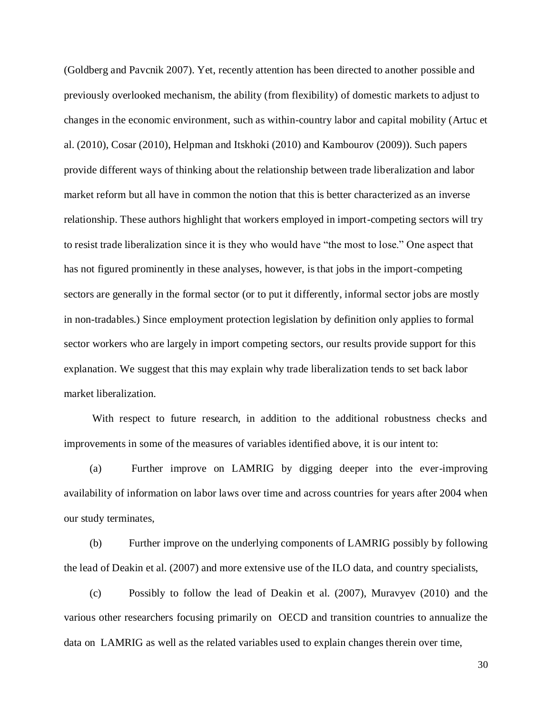(Goldberg and Pavcnik 2007). Yet, recently attention has been directed to another possible and previously overlooked mechanism, the ability (from flexibility) of domestic markets to adjust to changes in the economic environment, such as within-country labor and capital mobility (Artuc et al. (2010), Cosar (2010), Helpman and Itskhoki (2010) and Kambourov (2009)). Such papers provide different ways of thinking about the relationship between trade liberalization and labor market reform but all have in common the notion that this is better characterized as an inverse relationship. These authors highlight that workers employed in import-competing sectors will try to resist trade liberalization since it is they who would have "the most to lose." One aspect that has not figured prominently in these analyses, however, is that jobs in the import-competing sectors are generally in the formal sector (or to put it differently, informal sector jobs are mostly in non-tradables.) Since employment protection legislation by definition only applies to formal sector workers who are largely in import competing sectors, our results provide support for this explanation. We suggest that this may explain why trade liberalization tends to set back labor market liberalization.

With respect to future research, in addition to the additional robustness checks and improvements in some of the measures of variables identified above, it is our intent to:

(a) Further improve on LAMRIG by digging deeper into the ever-improving availability of information on labor laws over time and across countries for years after 2004 when our study terminates,

(b) Further improve on the underlying components of LAMRIG possibly by following the lead of Deakin et al. (2007) and more extensive use of the ILO data, and country specialists,

(c) Possibly to follow the lead of Deakin et al. (2007), Muravyev (2010) and the various other researchers focusing primarily on OECD and transition countries to annualize the data on LAMRIG as well as the related variables used to explain changes therein over time,

30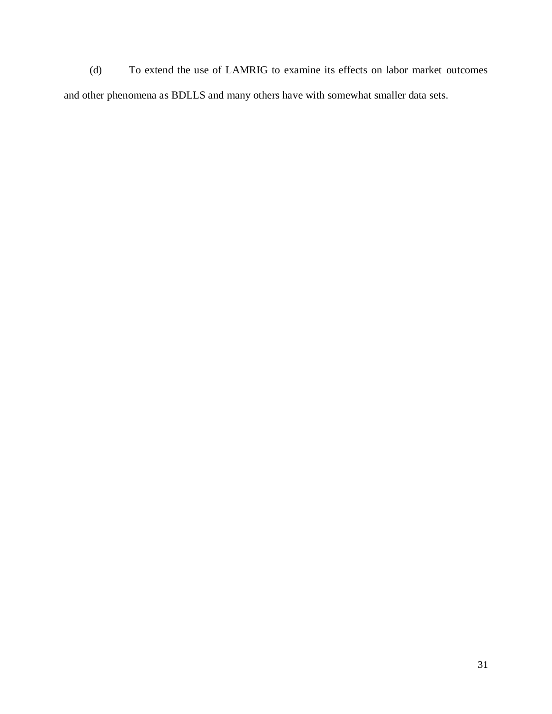(d) To extend the use of LAMRIG to examine its effects on labor market outcomes and other phenomena as BDLLS and many others have with somewhat smaller data sets.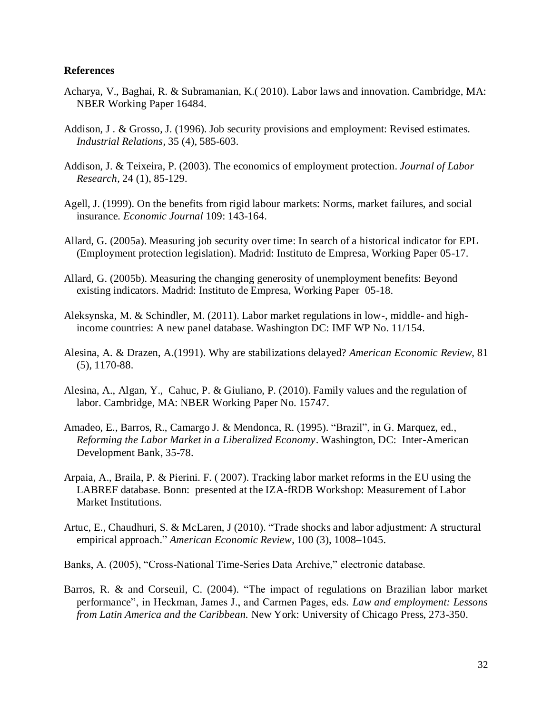#### **References**

- Acharya, V., Baghai, R. & Subramanian, K.( 2010). Labor laws and innovation. Cambridge, MA: NBER Working Paper 16484.
- Addison, J . & Grosso, J. (1996). Job security provisions and employment: Revised estimates. *Industrial Relations,* 35 (4), 585-603.
- Addison, J. & Teixeira, P. (2003). The economics of employment protection. *Journal of Labor Research,* 24 (1), 85-129.
- Agell, J. (1999). On the benefits from rigid labour markets: Norms, market failures, and social insurance. *Economic Journal* 109: 143-164.
- Allard, G. (2005a). Measuring job security over time: In search of a historical indicator for EPL (Employment protection legislation). Madrid: Instituto de Empresa, Working Paper 05-17.
- Allard, G. (2005b). Measuring the changing generosity of unemployment benefits: Beyond existing indicators. Madrid: Instituto de Empresa, Working Paper 05-18.
- Aleksynska, M. & Schindler, M. (2011). Labor market regulations in low-, middle- and highincome countries: A new panel database. Washington DC: IMF WP No. 11/154.
- Alesina, A. & Drazen, A.(1991). Why are stabilizations delayed? *American Economic Review*, 81 (5), 1170-88.
- Alesina, A., Algan, Y., Cahuc, P. & Giuliano, P. (2010). Family values and the regulation of labor. Cambridge, MA: NBER Working Paper No. 15747.
- Amadeo, E., Barros, R., Camargo J. & Mendonca, R. (1995). "Brazil", in G. Marquez, ed., *Reforming the Labor Market in a Liberalized Economy*. Washington, DC: Inter-American Development Bank, 35-78.
- Arpaia, A., Braila, P. & Pierini. F. ( 2007). Tracking labor market reforms in the EU using the LABREF database. Bonn: presented at the IZA-fRDB Workshop: Measurement of Labor Market Institutions.
- Artuc, E., Chaudhuri, S. & McLaren, J (2010). "Trade shocks and labor adjustment: A structural empirical approach." *American Economic Review*, 100 (3), 1008–1045.
- Banks, A. (2005), "Cross-National Time-Series Data Archive," electronic database.
- Barros, R. & and Corseuil, C. (2004). "The impact of regulations on Brazilian labor market performance", in Heckman, James J., and Carmen Pages, eds*. Law and employment: Lessons from Latin America and the Caribbean.* New York: University of Chicago Press, 273-350.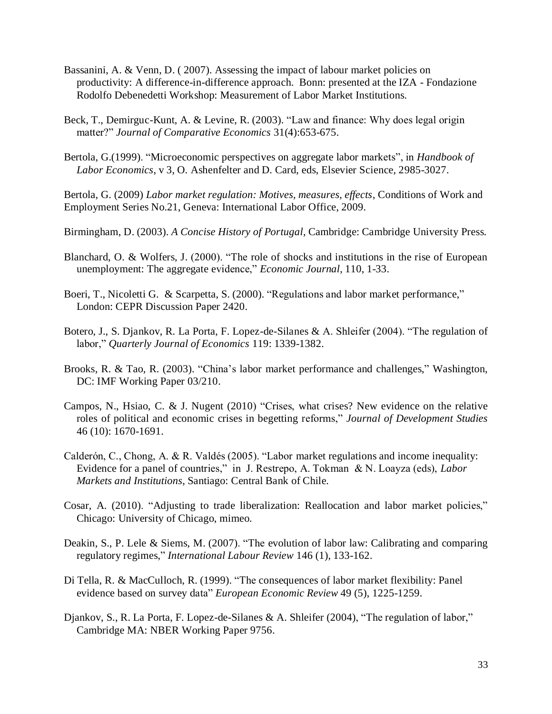- Bassanini, A. & Venn, D. ( 2007). Assessing the impact of labour market policies on productivity: A difference-in-difference approach. Bonn: presented at the IZA - Fondazione Rodolfo Debenedetti Workshop: Measurement of Labor Market Institutions.
- Beck, T., Demirguc-Kunt, A. & Levine, R. (2003). "Law and finance: Why does legal origin matter?" *Journal of Comparative Economics* 31(4):653-675.
- Bertola, G.(1999). "Microeconomic perspectives on aggregate labor markets", in *Handbook of Labor Economics*, v 3, O. Ashenfelter and D. Card, eds, Elsevier Science, 2985-3027.

Bertola, G. (2009) *Labor market regulation: Motives, measures, effects*, Conditions of Work and Employment Series No.21, Geneva: International Labor Office, 2009.

Birmingham, D. (2003). *A Concise History of Portugal*, Cambridge: Cambridge University Press.

- Blanchard, O. & Wolfers, J. (2000). "The role of shocks and institutions in the rise of European unemployment: The aggregate evidence," *Economic Journal*, 110, 1-33.
- Boeri, T., Nicoletti G. & Scarpetta, S. (2000). "Regulations and labor market performance," London: CEPR Discussion Paper 2420.
- Botero, J., S. Djankov, R. La Porta, F. Lopez-de-Silanes & A. Shleifer (2004). "The regulation of labor," *Quarterly Journal of Economics* 119: 1339-1382.
- Brooks, R. & Tao, R. (2003). "China's labor market performance and challenges," Washington, DC: IMF Working Paper 03/210.
- Campos, N., Hsiao, C. & J. Nugent (2010) "Crises, what crises? New evidence on the relative roles of political and economic crises in begetting reforms," *Journal of Development Studies* 46 (10): 1670-1691.
- Calderón, C., Chong, A. & R. Valdés (2005). "Labor market regulations and income inequality: Evidence for a panel of countries," in J. Restrepo, A. Tokman & N. Loayza (eds), *Labor Markets and Institutions*, Santiago: Central Bank of Chile.
- Cosar, A. (2010). "Adjusting to trade liberalization: Reallocation and labor market policies," Chicago: University of Chicago, mimeo.
- Deakin, S., P. Lele & Siems, M. (2007). "The evolution of labor law: Calibrating and comparing regulatory regimes," *International Labour Review* 146 (1), 133-162.
- Di Tella, R. & MacCulloch, R. (1999). "The consequences of labor market flexibility: Panel evidence based on survey data" *European Economic Review* 49 (5), 1225-1259.
- Djankov, S., R. La Porta, F. Lopez-de-Silanes & A. Shleifer (2004), "The regulation of labor," Cambridge MA: NBER Working Paper 9756.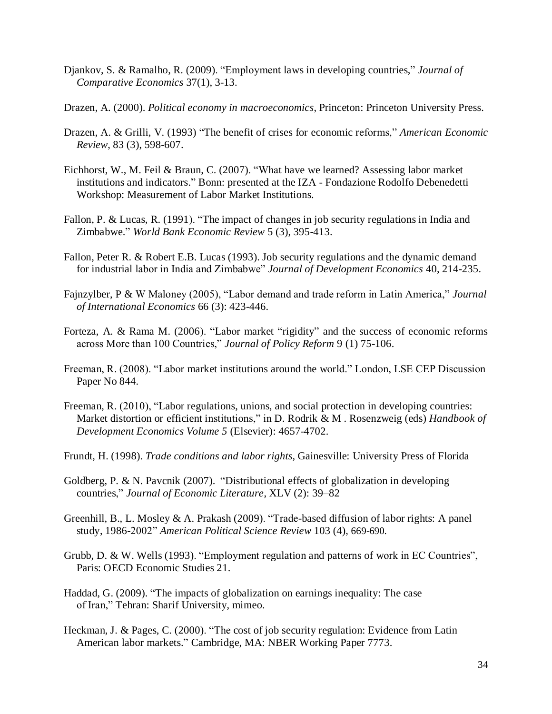- Djankov, S. & Ramalho, R. (2009). "Employment laws in developing countries," *Journal of Comparative Economics* 37(1), 3-13.
- Drazen, A. (2000). *Political economy in macroeconomics*, Princeton: Princeton University Press.
- Drazen, A. & Grilli, V. (1993) "The benefit of crises for economic reforms," *American Economic Review*, 83 (3), 598-607.
- Eichhorst, W., M. Feil & Braun, C. (2007). "What have we learned? Assessing labor market institutions and indicators." Bonn: presented at the IZA - Fondazione Rodolfo Debenedetti Workshop: Measurement of Labor Market Institutions.
- Fallon, P. & Lucas, R. (1991). "The impact of changes in job security regulations in India and Zimbabwe." *World Bank Economic Review* 5 (3), 395-413.
- Fallon, Peter R. & Robert E.B. Lucas (1993). Job security regulations and the dynamic demand for industrial labor in India and Zimbabwe" *Journal of Development Economics* 40, 214-235.
- Fajnzylber, P & W Maloney (2005), "Labor demand and trade reform in Latin America," *Journal of International Economics* 66 (3): 423-446.
- Forteza, A. & Rama M. (2006). "Labor market "rigidity" and the success of economic reforms across More than 100 Countries," *Journal of Policy Reform* 9 (1) 75-106.
- Freeman, R. (2008). "Labor market institutions around the world." London, LSE CEP Discussion Paper No 844.
- Freeman, R. (2010), "Labor regulations, unions, and social protection in developing countries: Market distortion or efficient institutions," in D. Rodrik & M . Rosenzweig (eds) *Handbook of Development Economics Volume 5* (Elsevier): 4657-4702.
- Frundt, H. (1998). *Trade conditions and labor rights*, Gainesville: University Press of Florida
- Goldberg, P. & N. Pavcnik (2007). "Distributional effects of globalization in developing countries," *Journal of Economic Literature*, XLV (2): 39–82
- Greenhill, B., L. Mosley & A. Prakash (2009). "Trade-based diffusion of labor rights: A panel study, 1986-2002" *American Political Science Review* 103 (4), 669-690.
- Grubb, D. & W. Wells (1993). "Employment regulation and patterns of work in EC Countries", Paris: OECD Economic Studies 21.
- Haddad, G. (2009). "The impacts of globalization on earnings inequality: The case of Iran," Tehran: Sharif University, mimeo.
- Heckman, J. & Pages, C. (2000). "The cost of job security regulation: Evidence from Latin American labor markets." Cambridge, MA: NBER Working Paper 7773.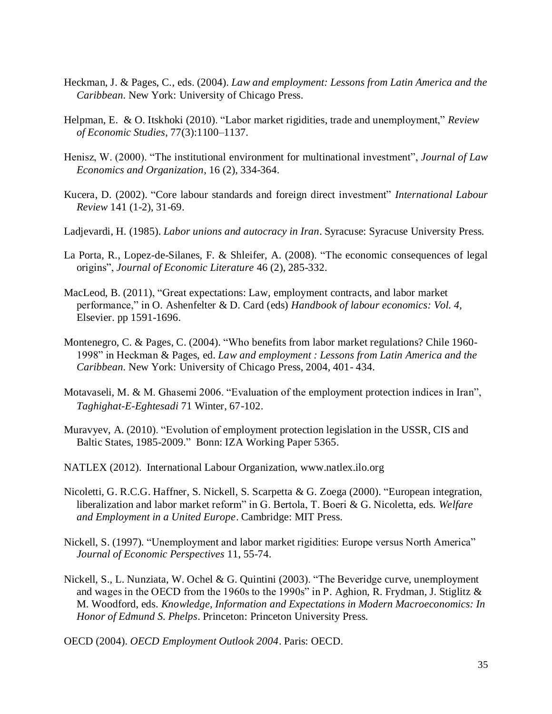- Heckman, J. & Pages, C., eds. (2004). *Law and employment: Lessons from Latin America and the Caribbean.* New York: University of Chicago Press.
- Helpman, E. & O. Itskhoki (2010). "Labor market rigidities, trade and unemployment," *Review of Economic Studies*, 77(3):1100–1137.
- Henisz, W. (2000). "The institutional environment for multinational investment", *Journal of Law Economics and Organization*, 16 (2), 334-364.
- Kucera, D. (2002). "Core labour standards and foreign direct investment" *International Labour Review* 141 (1-2), 31-69.
- Ladjevardi, H. (1985). *Labor unions and autocracy in Iran*. Syracuse: Syracuse University Press.
- La Porta, R., Lopez-de-Silanes, F. & Shleifer, A. (2008). "The economic consequences of legal origins", *Journal of Economic Literature* 46 (2), 285-332.
- MacLeod, B. (2011), "Great expectations: Law, employment contracts, and labor market performance," in O. Ashenfelter & D. Card (eds) *Handbook of labour economics: Vol. 4*, Elsevier. pp 1591-1696.
- Montenegro, C. & Pages, C. (2004). "Who benefits from labor market regulations? Chile 1960- 1998" in Heckman & Pages, ed. *Law and employment : Lessons from Latin America and the Caribbean.* New York: University of Chicago Press, 2004, 401- 434.
- Motavaseli, M. & M. Ghasemi 2006. "Evaluation of the employment protection indices in Iran", *Taghighat-E-Eghtesadi* 71 Winter, 67-102.
- Muravyev, A. (2010). "Evolution of employment protection legislation in the USSR, CIS and Baltic States, 1985-2009." Bonn: IZA Working Paper 5365.
- NATLEX (2012). International Labour Organization, www.natlex.ilo.org
- Nicoletti, G. R.C.G. Haffner, S. Nickell, S. Scarpetta & G. Zoega (2000). "European integration, liberalization and labor market reform" in G. Bertola, T. Boeri & G. Nicoletta, eds. *Welfare and Employment in a United Europe*. Cambridge: MIT Press.
- Nickell, S. (1997)*.* "Unemployment and labor market rigidities: Europe versus North America" *Journal of Economic Perspectives* 11, 55-74.
- Nickell, S., L. Nunziata, W. Ochel & G. Quintini (2003). "The Beveridge curve, unemployment and wages in the OECD from the 1960s to the 1990s" in P. Aghion, R. Frydman, J. Stiglitz & M. Woodford, eds. *Knowledge, Information and Expectations in Modern Macroeconomics: In Honor of Edmund S. Phelps*. Princeton: Princeton University Press.

OECD (2004). *OECD Employment Outlook 2004*. Paris: OECD.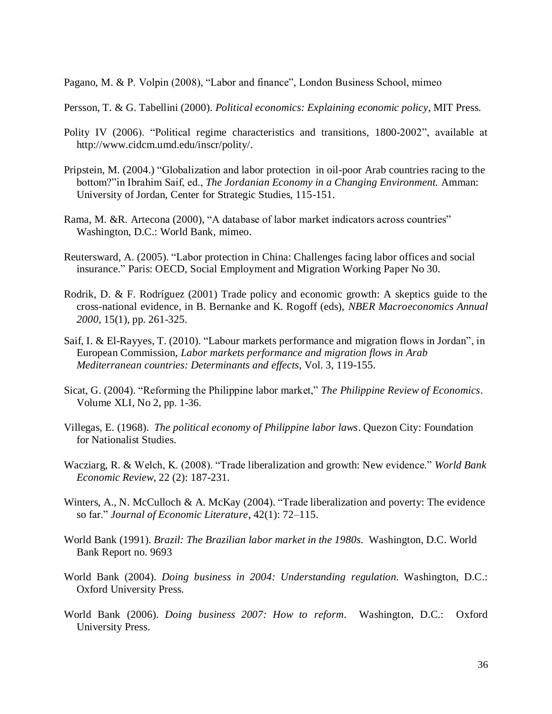Pagano, M. & P. Volpin (2008), "Labor and finance", London Business School, mimeo

Persson, T. & G. Tabellini (2000). *Political economics: Explaining economic policy*, MIT Press.

- Polity IV (2006). "Political regime characteristics and transitions, 1800-2002", available at http://www.cidcm.umd.edu/inscr/polity/.
- Pripstein, M. (2004.) "Globalization and labor protection in oil-poor Arab countries racing to the bottom?"in Ibrahim Saif, ed., *The Jordanian Economy in a Changing Environment.* Amman: University of Jordan, Center for Strategic Studies, 115-151.
- Rama, M. &R. Artecona (2000), "A database of labor market indicators across countries" Washington, D.C.: World Bank, mimeo.
- Reutersward, A. (2005). "Labor protection in China: Challenges facing labor offices and social insurance." Paris: OECD, Social Employment and Migration Working Paper No 30.
- Rodrik, D. & F. Rodríguez (2001) Trade policy and economic growth: A skeptics guide to the cross-national evidence, in B. Bernanke and K. Rogoff (eds), *NBER Macroeconomics Annual 2000*, 15(1), pp. 261-325.
- Saif, I. & El-Rayyes, T. (2010). "Labour markets performance and migration flows in Jordan", in European Commission, *Labor markets performance and migration flows in Arab Mediterranean countries: Determinants and effects*, Vol. 3, 119-155.
- Sicat, G. (2004). "Reforming the Philippine labor market," *The Philippine Review of Economics*. Volume XLI, No 2, pp. 1-36.
- Villegas, E. (1968). *The political economy of Philippine labor laws*. Quezon City: Foundation for Nationalist Studies.
- Wacziarg, R. & Welch, K. (2008). "Trade liberalization and growth: New evidence." *World Bank Economic Review*, 22 (2): 187-231*.*
- Winters, A., N. McCulloch & A. McKay (2004). "Trade liberalization and poverty: The evidence so far." *Journal of Economic Literature*, 42(1): 72–115.
- World Bank (1991). *Brazil: The Brazilian labor market in the 1980s.* Washington, D.C. World Bank Report no. 9693
- World Bank (2004). *Doing business in 2004: Understanding regulation*. Washington, D.C.: Oxford University Press.
- World Bank (2006). *Doing business 2007: How to reform*. Washington, D.C.: Oxford University Press.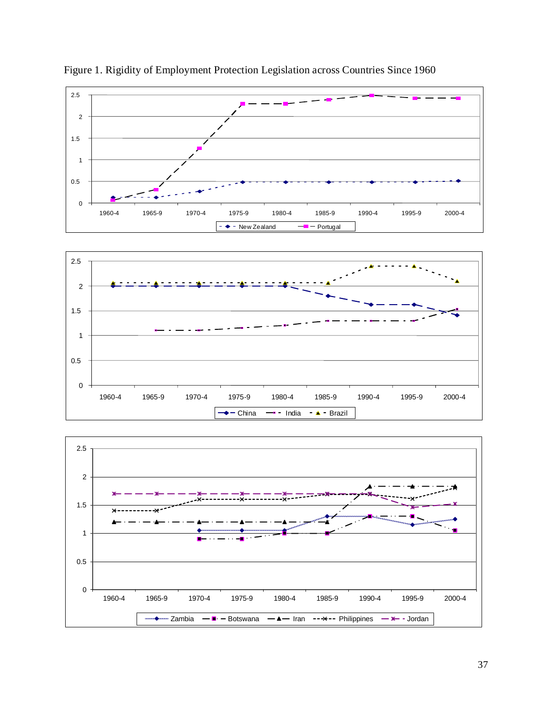

Figure 1. Rigidity of Employment Protection Legislation across Countries Since 1960



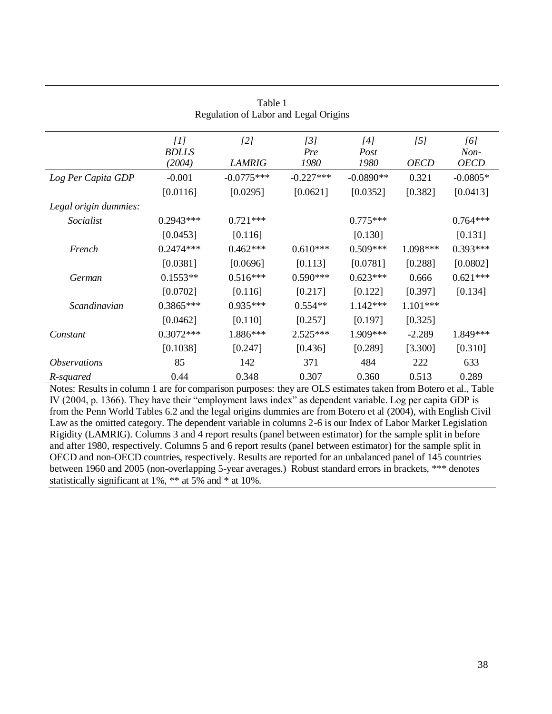| Regulation of Labor and Legal Origins |                               |                      |                    |                     |                    |                            |  |
|---------------------------------------|-------------------------------|----------------------|--------------------|---------------------|--------------------|----------------------------|--|
|                                       | [1]<br><b>BDLLS</b><br>(2004) | [2]<br><b>LAMRIG</b> | [3]<br>Pre<br>1980 | [4]<br>Post<br>1980 | [5]<br><b>OECD</b> | [6]<br>Non-<br><b>OECD</b> |  |
| Log Per Capita GDP                    | $-0.001$                      | $-0.0775***$         | $-0.227***$        | $-0.0890**$         | 0.321              | $-0.0805*$                 |  |
|                                       | [0.0116]                      | [0.0295]             | [0.0621]           | [0.0352]            | [0.382]            | [0.0413]                   |  |
| Legal origin dummies:                 |                               |                      |                    |                     |                    |                            |  |
| Socialist                             | $0.2943***$                   | $0.721***$           |                    | $0.775***$          |                    | $0.764***$                 |  |
|                                       | [0.0453]                      | [0.116]              |                    | [0.130]             |                    | [0.131]                    |  |
| French                                | $0.2474***$                   | $0.462***$           | $0.610***$         | $0.509***$          | 1.098***           | $0.393***$                 |  |
|                                       | [0.0381]                      | [0.0696]             | [0.113]            | [0.0781]            | [0.288]            | [0.0802]                   |  |
| German                                | $0.1553**$                    | $0.516***$           | $0.590***$         | $0.623***$          | 0.666              | $0.621***$                 |  |
|                                       | [0.0702]                      | [0.116]              | [0.217]            | [0.122]             | [0.397]            | [0.134]                    |  |
| Scandinavian                          | $0.3865***$                   | $0.935***$           | $0.554**$          | $1.142***$          | $1.101***$         |                            |  |
|                                       | [0.0462]                      | [0.110]              | [0.257]            | [0.197]             | [0.325]            |                            |  |
| Constant                              | $0.3072***$                   | 1.886***             | $2.525***$         | 1.909***            | $-2.289$           | 1.849***                   |  |
|                                       | [0.1038]                      | [0.247]              | [0.436]            | [0.289]             | [3.300]            | [0.310]                    |  |
| <i><b>Observations</b></i>            | 85                            | 142                  | 371                | 484                 | 222                | 633                        |  |
| R-squared                             | 0.44                          | 0.348                | 0.307              | 0.360               | 0.513              | 0.289                      |  |

# Table 1

Notes: Results in column 1 are for comparison purposes: they are OLS estimates taken from Botero et al., Table IV (2004, p. 1366). They have their "employment laws index" as dependent variable. Log per capita GDP is from the Penn World Tables 6.2 and the legal origins dummies are from Botero et al (2004), with English Civil Law as the omitted category. The dependent variable in columns 2-6 is our Index of Labor Market Legislation Rigidity (LAMRIG). Columns 3 and 4 report results (panel between estimator) for the sample split in before and after 1980, respectively. Columns 5 and 6 report results (panel between estimator) for the sample split in OECD and non-OECD countries, respectively. Results are reported for an unbalanced panel of 145 countries between 1960 and 2005 (non-overlapping 5-year averages.) Robust standard errors in brackets, \*\*\* denotes statistically significant at 1%, \*\* at 5% and \* at 10%.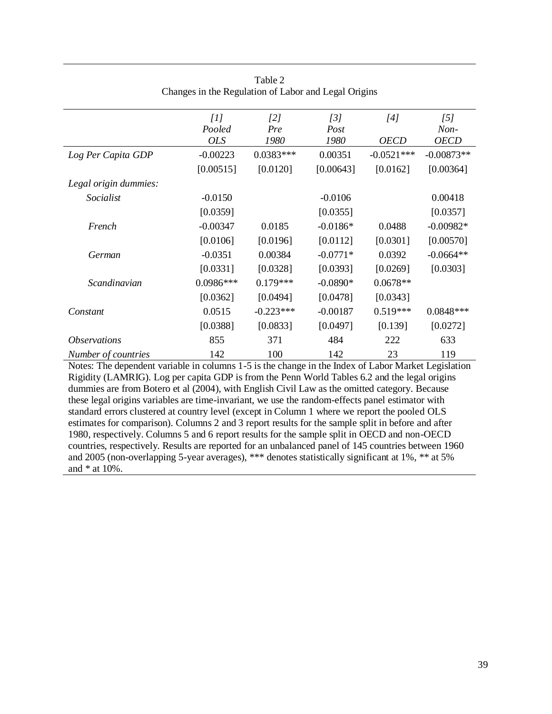|                            | [1]<br>Pooled<br><b>OLS</b> | [2]<br>Pre<br>1980 | [3]<br>Post<br>1980 | [4]<br><b>OECD</b> | [5]<br>Non-<br><b>OECD</b> |
|----------------------------|-----------------------------|--------------------|---------------------|--------------------|----------------------------|
| Log Per Capita GDP         | $-0.00223$                  | $0.0383***$        | 0.00351             | $-0.0521***$       | $-0.00873**$               |
|                            | [0.00515]                   | [0.0120]           | [0.00643]           | [0.0162]           | [0.00364]                  |
| Legal origin dummies:      |                             |                    |                     |                    |                            |
| Socialist                  | $-0.0150$                   |                    | $-0.0106$           |                    | 0.00418                    |
|                            | [0.0359]                    |                    | [0.0355]            |                    | [0.0357]                   |
| French                     | $-0.00347$                  | 0.0185             | $-0.0186*$          | 0.0488             | $-0.00982*$                |
|                            | [0.0106]                    | [0.0196]           | [0.0112]            | [0.0301]           | [0.00570]                  |
| German                     | $-0.0351$                   | 0.00384            | $-0.0771*$          | 0.0392             | $-0.0664**$                |
|                            | [0.0331]                    | [0.0328]           | [0.0393]            | [0.0269]           | [0.0303]                   |
| Scandinavian               | 0.0986***                   | $0.179***$         | $-0.0890*$          | $0.0678**$         |                            |
|                            | [0.0362]                    | [0.0494]           | [0.0478]            | [0.0343]           |                            |
| Constant                   | 0.0515                      | $-0.223***$        | $-0.00187$          | $0.519***$         | 0.0848***                  |
|                            | [0.0388]                    | [0.0833]           | [0.0497]            | [0.139]            | [0.0272]                   |
| <i><b>Observations</b></i> | 855                         | 371                | 484                 | 222                | 633                        |
| Number of countries        | 142                         | 100                | 142                 | 23                 | 119                        |

| Table 2                                              |  |
|------------------------------------------------------|--|
| Changes in the Regulation of Labor and Legal Origins |  |

Notes: The dependent variable in columns 1-5 is the change in the Index of Labor Market Legislation Rigidity (LAMRIG). Log per capita GDP is from the Penn World Tables 6.2 and the legal origins dummies are from Botero et al (2004), with English Civil Law as the omitted category. Because these legal origins variables are time-invariant, we use the random-effects panel estimator with standard errors clustered at country level (except in Column 1 where we report the pooled OLS estimates for comparison). Columns 2 and 3 report results for the sample split in before and after 1980, respectively. Columns 5 and 6 report results for the sample split in OECD and non-OECD countries, respectively. Results are reported for an unbalanced panel of 145 countries between 1960 and 2005 (non-overlapping 5-year averages), \*\*\* denotes statistically significant at 1%, \*\* at 5% and \* at 10%.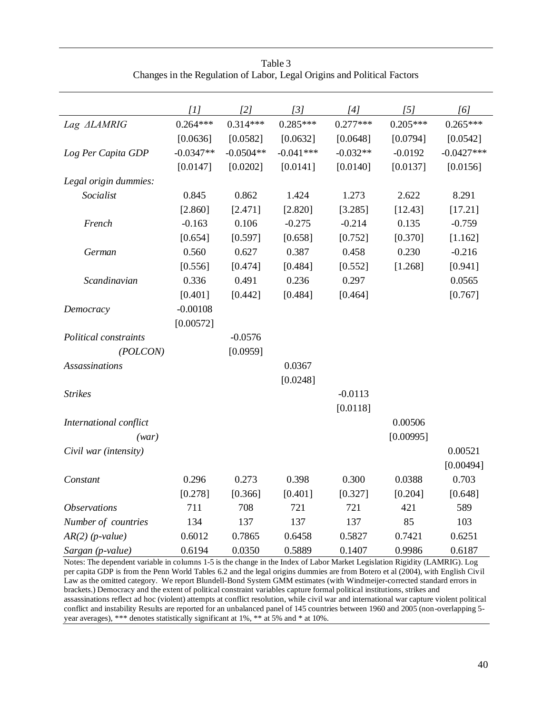|                            | [1]         | $\lceil 2 \rceil$ | [3]         | [4]        | $\overline{151}$ | [6]          |
|----------------------------|-------------|-------------------|-------------|------------|------------------|--------------|
| Lag ALAMRIG                | $0.264***$  | $0.314***$        | $0.285***$  | $0.277***$ | $0.205***$       | $0.265***$   |
|                            | [0.0636]    | [0.0582]          | [0.0632]    | [0.0648]   | [0.0794]         | [0.0542]     |
| Log Per Capita GDP         | $-0.0347**$ | $-0.0504**$       | $-0.041***$ | $-0.032**$ | $-0.0192$        | $-0.0427***$ |
|                            | [0.0147]    | [0.0202]          | [0.0141]    | [0.0140]   | [0.0137]         | [0.0156]     |
| Legal origin dummies:      |             |                   |             |            |                  |              |
| Socialist                  | 0.845       | 0.862             | 1.424       | 1.273      | 2.622            | 8.291        |
|                            | [2.860]     | [2.471]           | [2.820]     | [3.285]    | [12.43]          | [17.21]      |
| French                     | $-0.163$    | 0.106             | $-0.275$    | $-0.214$   | 0.135            | $-0.759$     |
|                            | [0.654]     | [0.597]           | [0.658]     | [0.752]    | [0.370]          | [1.162]      |
| German                     | 0.560       | 0.627             | 0.387       | 0.458      | 0.230            | $-0.216$     |
|                            | [0.556]     | [0.474]           | [0.484]     | [0.552]    | [1.268]          | [0.941]      |
| Scandinavian               | 0.336       | 0.491             | 0.236       | 0.297      |                  | 0.0565       |
|                            | [0.401]     | [0.442]           | [0.484]     | [0.464]    |                  | [0.767]      |
| Democracy                  | $-0.00108$  |                   |             |            |                  |              |
|                            | [0.00572]   |                   |             |            |                  |              |
| Political constraints      |             | $-0.0576$         |             |            |                  |              |
| (POLCON)                   |             | [0.0959]          |             |            |                  |              |
| <b>Assassinations</b>      |             |                   | 0.0367      |            |                  |              |
|                            |             |                   | [0.0248]    |            |                  |              |
| <b>Strikes</b>             |             |                   |             | $-0.0113$  |                  |              |
|                            |             |                   |             | [0.0118]   |                  |              |
| International conflict     |             |                   |             |            | 0.00506          |              |
| (wx)                       |             |                   |             |            | [0.00995]        |              |
| Civil war (intensity)      |             |                   |             |            |                  | 0.00521      |
|                            |             |                   |             |            |                  | [0.00494]    |
| Constant                   | 0.296       | 0.273             | 0.398       | 0.300      | 0.0388           | 0.703        |
|                            | [0.278]     | [0.366]           | [0.401]     | [0.327]    | [0.204]          | [0.648]      |
| <i><b>Observations</b></i> | 711         | 708               | 721         | 721        | 421              | 589          |
| Number of countries        | 134         | 137               | 137         | 137        | 85               | 103          |
| $AR(2)$ (p-value)          | 0.6012      | 0.7865            | 0.6458      | 0.5827     | 0.7421           | 0.6251       |
| Sargan (p-value)           | 0.6194      | 0.0350            | 0.5889      | 0.1407     | 0.9986           | 0.6187       |

Table 3 Changes in the Regulation of Labor, Legal Origins and Political Factors

Notes: The dependent variable in columns 1-5 is the change in the Index of Labor Market Legislation Rigidity (LAMRIG). Log per capita GDP is from the Penn World Tables 6.2 and the legal origins dummies are from Botero et al (2004), with English Civil Law as the omitted category. We report Blundell-Bond System GMM estimates (with Windmeijer-corrected standard errors in brackets.) Democracy and the extent of political constraint variables capture formal political institutions, strikes and assassinations reflect ad hoc (violent) attempts at conflict resolution, while civil war and international war capture violent political conflict and instability Results are reported for an unbalanced panel of 145 countries between 1960 and 2005 (non-overlapping 5 year averages), \*\*\* denotes statistically significant at 1%, \*\* at 5% and \* at 10%.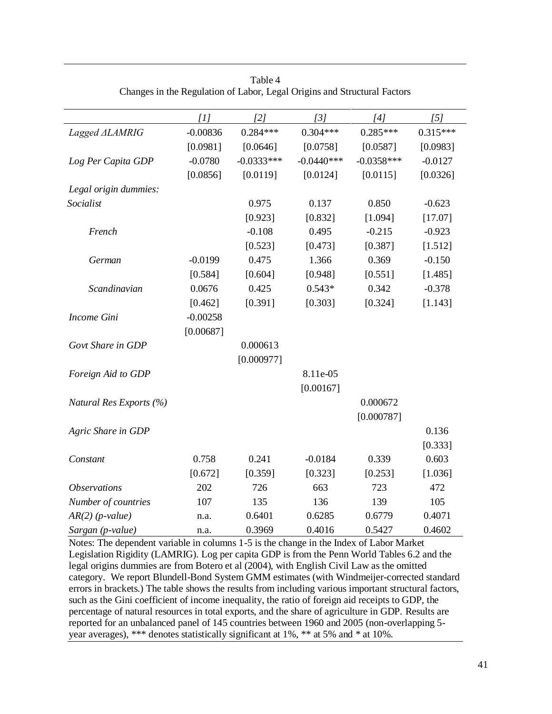|                            | [1]        | [2]          | [3]          | [4]          | [5]        |
|----------------------------|------------|--------------|--------------|--------------|------------|
| Lagged ALAMRIG             | $-0.00836$ | $0.284***$   | $0.304***$   | $0.285***$   | $0.315***$ |
|                            | [0.0981]   | [0.0646]     | [0.0758]     | [0.0587]     | [0.0983]   |
| Log Per Capita GDP         | $-0.0780$  | $-0.0333***$ | $-0.0440***$ | $-0.0358***$ | $-0.0127$  |
|                            | [0.0856]   | [0.0119]     | [0.0124]     | [0.0115]     | [0.0326]   |
| Legal origin dummies:      |            |              |              |              |            |
| Socialist                  |            | 0.975        | 0.137        | 0.850        | $-0.623$   |
|                            |            | [0.923]      | [0.832]      | [1.094]      | [17.07]    |
| French                     |            | $-0.108$     | 0.495        | $-0.215$     | $-0.923$   |
|                            |            | [0.523]      | [0.473]      | [0.387]      | [1.512]    |
| German                     | $-0.0199$  | 0.475        | 1.366        | 0.369        | $-0.150$   |
|                            | [0.584]    | [0.604]      | [0.948]      | [0.551]      | [1.485]    |
| Scandinavian               | 0.0676     | 0.425        | $0.543*$     | 0.342        | $-0.378$   |
|                            | [0.462]    | [0.391]      | [0.303]      | [0.324]      | [1.143]    |
| Income Gini                | $-0.00258$ |              |              |              |            |
|                            | [0.00687]  |              |              |              |            |
| Govt Share in GDP          |            | 0.000613     |              |              |            |
|                            |            | [0.000977]   |              |              |            |
| Foreign Aid to GDP         |            |              | 8.11e-05     |              |            |
|                            |            |              | [0.00167]    |              |            |
| Natural Res Exports (%)    |            |              |              | 0.000672     |            |
|                            |            |              |              | [0.000787]   |            |
| Agric Share in GDP         |            |              |              |              | 0.136      |
|                            |            |              |              |              | [0.333]    |
| Constant                   | 0.758      | 0.241        | $-0.0184$    | 0.339        | 0.603      |
|                            | [0.672]    | [0.359]      | [0.323]      | [0.253]      | [1.036]    |
| <i><b>Observations</b></i> | 202        | 726          | 663          | 723          | 472        |
| Number of countries        | 107        | 135          | 136          | 139          | 105        |
| $AR(2)$ (p-value)          | n.a.       | 0.6401       | 0.6285       | 0.6779       | 0.4071     |
| Sargan (p-value)           | n.a.       | 0.3969       | 0.4016       | 0.5427       | 0.4602     |

Table 4 Changes in the Regulation of Labor, Legal Origins and Structural Factors

Notes: The dependent variable in columns 1-5 is the change in the Index of Labor Market Legislation Rigidity (LAMRIG). Log per capita GDP is from the Penn World Tables 6.2 and the legal origins dummies are from Botero et al (2004), with English Civil Law as the omitted category. We report Blundell-Bond System GMM estimates (with Windmeijer-corrected standard errors in brackets.) The table shows the results from including various important structural factors, such as the Gini coefficient of income inequality, the ratio of foreign aid receipts to GDP, the percentage of natural resources in total exports, and the share of agriculture in GDP. Results are reported for an unbalanced panel of 145 countries between 1960 and 2005 (non-overlapping 5 year averages), \*\*\* denotes statistically significant at 1%, \*\* at 5% and \* at 10%.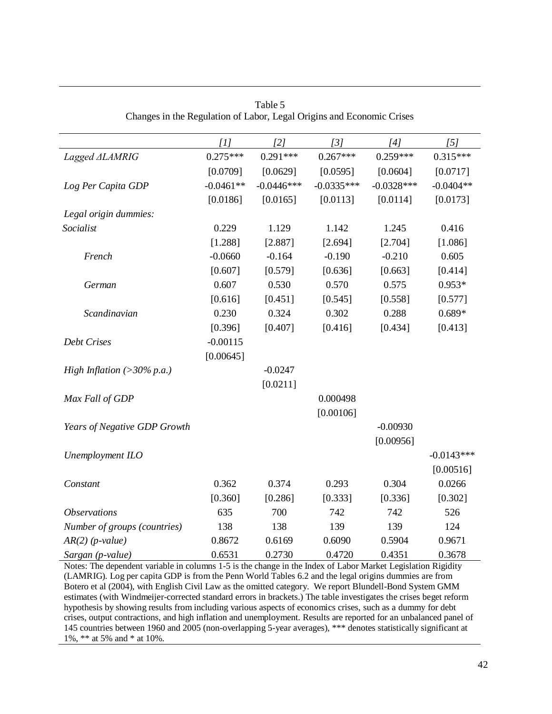|                              | [1]         | [2]          | [3]          | [4]          | [5]          |
|------------------------------|-------------|--------------|--------------|--------------|--------------|
| Lagged ALAMRIG               | $0.275***$  | $0.291***$   | $0.267***$   | $0.259***$   | $0.315***$   |
|                              | [0.0709]    | [0.0629]     | [0.0595]     | [0.0604]     | [0.0717]     |
| Log Per Capita GDP           | $-0.0461**$ | $-0.0446***$ | $-0.0335***$ | $-0.0328***$ | $-0.0404**$  |
|                              | [0.0186]    | [0.0165]     | [0.0113]     | [0.0114]     | [0.0173]     |
| Legal origin dummies:        |             |              |              |              |              |
| Socialist                    | 0.229       | 1.129        | 1.142        | 1.245        | 0.416        |
|                              | [1.288]     | [2.887]      | [2.694]      | [2.704]      | [1.086]      |
| French                       | $-0.0660$   | $-0.164$     | $-0.190$     | $-0.210$     | 0.605        |
|                              | [0.607]     | [0.579]      | [0.636]      | [0.663]      | [0.414]      |
| German                       | 0.607       | 0.530        | 0.570        | 0.575        | $0.953*$     |
|                              | [0.616]     | [0.451]      | [0.545]      | [0.558]      | [0.577]      |
| Scandinavian                 | 0.230       | 0.324        | 0.302        | 0.288        | $0.689*$     |
|                              | [0.396]     | [0.407]      | [0.416]      | [0.434]      | [0.413]      |
| <b>Debt Crises</b>           | $-0.00115$  |              |              |              |              |
|                              | [0.00645]   |              |              |              |              |
| High Inflation (>30% p.a.)   |             | $-0.0247$    |              |              |              |
|                              |             | [0.0211]     |              |              |              |
| Max Fall of GDP              |             |              | 0.000498     |              |              |
|                              |             |              | [0.00106]    |              |              |
| Years of Negative GDP Growth |             |              |              | $-0.00930$   |              |
|                              |             |              |              | [0.00956]    |              |
| Unemployment ILO             |             |              |              |              | $-0.0143***$ |
|                              |             |              |              |              | [0.00516]    |
| Constant                     | 0.362       | 0.374        | 0.293        | 0.304        | 0.0266       |
|                              | [0.360]     | [0.286]      | [0.333]      | [0.336]      | [0.302]      |
| <b>Observations</b>          | 635         | 700          | 742          | 742          | 526          |
| Number of groups (countries) | 138         | 138          | 139          | 139          | 124          |
| $AR(2)$ (p-value)            | 0.8672      | 0.6169       | 0.6090       | 0.5904       | 0.9671       |
| Sargan (p-value)             | 0.6531      | 0.2730       | 0.4720       | 0.4351       | 0.3678       |

Table 5 Changes in the Regulation of Labor, Legal Origins and Economic Crises

Notes: The dependent variable in columns 1-5 is the change in the Index of Labor Market Legislation Rigidity (LAMRIG). Log per capita GDP is from the Penn World Tables 6.2 and the legal origins dummies are from Botero et al (2004), with English Civil Law as the omitted category. We report Blundell-Bond System GMM estimates (with Windmeijer-corrected standard errors in brackets.) The table investigates the crises beget reform hypothesis by showing results from including various aspects of economics crises, such as a dummy for debt crises, output contractions, and high inflation and unemployment. Results are reported for an unbalanced panel of 145 countries between 1960 and 2005 (non-overlapping 5-year averages), \*\*\* denotes statistically significant at 1%, \*\* at 5% and \* at 10%.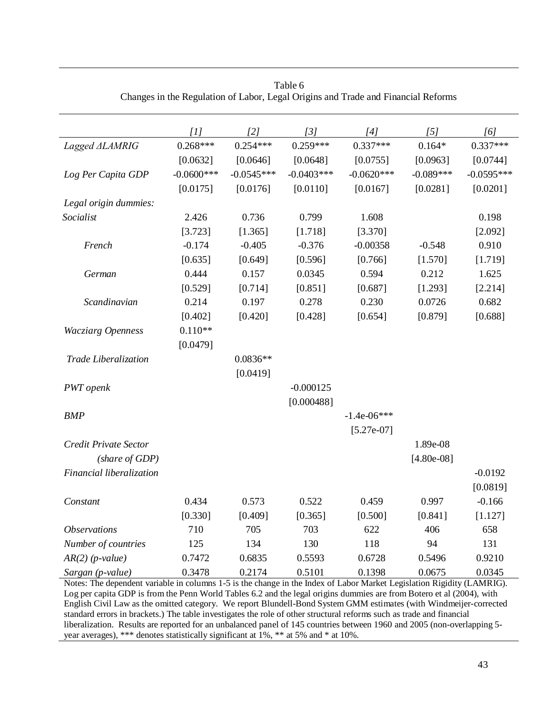|                            | [1]          | $\lceil 2 \rceil$ | [3]          | [4]           | $\overline{5}$ | [6]          |
|----------------------------|--------------|-------------------|--------------|---------------|----------------|--------------|
| Lagged ALAMRIG             | $0.268***$   | $0.254***$        | $0.259***$   | $0.337***$    | $0.164*$       | $0.337***$   |
|                            | [0.0632]     | [0.0646]          | [0.0648]     | [0.0755]      | [0.0963]       | [0.0744]     |
| Log Per Capita GDP         | $-0.0600***$ | $-0.0545***$      | $-0.0403***$ | $-0.0620***$  | $-0.089***$    | $-0.0595***$ |
|                            | [0.0175]     | [0.0176]          | [0.0110]     | [0.0167]      | [0.0281]       | [0.0201]     |
| Legal origin dummies:      |              |                   |              |               |                |              |
| Socialist                  | 2.426        | 0.736             | 0.799        | 1.608         |                | 0.198        |
|                            | [3.723]      | [1.365]           | [1.718]      | [3.370]       |                | [2.092]      |
| French                     | $-0.174$     | $-0.405$          | $-0.376$     | $-0.00358$    | $-0.548$       | 0.910        |
|                            | [0.635]      | [0.649]           | [0.596]      | [0.766]       | [1.570]        | [1.719]      |
| German                     | 0.444        | 0.157             | 0.0345       | 0.594         | 0.212          | 1.625        |
|                            | [0.529]      | [0.714]           | [0.851]      | [0.687]       | [1.293]        | [2.214]      |
| Scandinavian               | 0.214        | 0.197             | 0.278        | 0.230         | 0.0726         | 0.682        |
|                            | [0.402]      | [0.420]           | [0.428]      | [0.654]       | [0.879]        | [0.688]      |
| <b>Wacziarg Openness</b>   | $0.110**$    |                   |              |               |                |              |
|                            | [0.0479]     |                   |              |               |                |              |
| Trade Liberalization       |              | $0.0836**$        |              |               |                |              |
|                            |              | [0.0419]          |              |               |                |              |
| PWT openk                  |              |                   | $-0.000125$  |               |                |              |
|                            |              |                   | [0.000488]   |               |                |              |
| <b>BMP</b>                 |              |                   |              | $-1.4e-06***$ |                |              |
|                            |              |                   |              | $[5.27e-07]$  |                |              |
| Credit Private Sector      |              |                   |              |               | 1.89e-08       |              |
| (share of GDP)             |              |                   |              |               | $[4.80e-08]$   |              |
| Financial liberalization   |              |                   |              |               |                | $-0.0192$    |
|                            |              |                   |              |               |                | [0.0819]     |
| Constant                   | 0.434        | 0.573             | 0.522        | 0.459         | 0.997          | $-0.166$     |
|                            | [0.330]      | [0.409]           | [0.365]      | [0.500]       | [0.841]        | [1.127]      |
| <i><b>Observations</b></i> | 710          | 705               | 703          | 622           | 406            | 658          |
| Number of countries        | 125          | 134               | 130          | 118           | 94             | 131          |
| $AR(2)$ (p-value)          | 0.7472       | 0.6835            | 0.5593       | 0.6728        | 0.5496         | 0.9210       |
| Sargan (p-value)           | 0.3478       | 0.2174            | 0.5101       | 0.1398        | 0.0675         | 0.0345       |

| Table 6                                                                           |  |
|-----------------------------------------------------------------------------------|--|
| Changes in the Regulation of Labor, Legal Origins and Trade and Financial Reforms |  |

Notes: The dependent variable in columns 1-5 is the change in the Index of Labor Market Legislation Rigidity (LAMRIG). Log per capita GDP is from the Penn World Tables 6.2 and the legal origins dummies are from Botero et al (2004), with English Civil Law as the omitted category. We report Blundell-Bond System GMM estimates (with Windmeijer-corrected standard errors in brackets.) The table investigates the role of other structural reforms such as trade and financial liberalization. Results are reported for an unbalanced panel of 145 countries between 1960 and 2005 (non-overlapping 5 year averages), \*\*\* denotes statistically significant at 1%, \*\* at 5% and \* at 10%.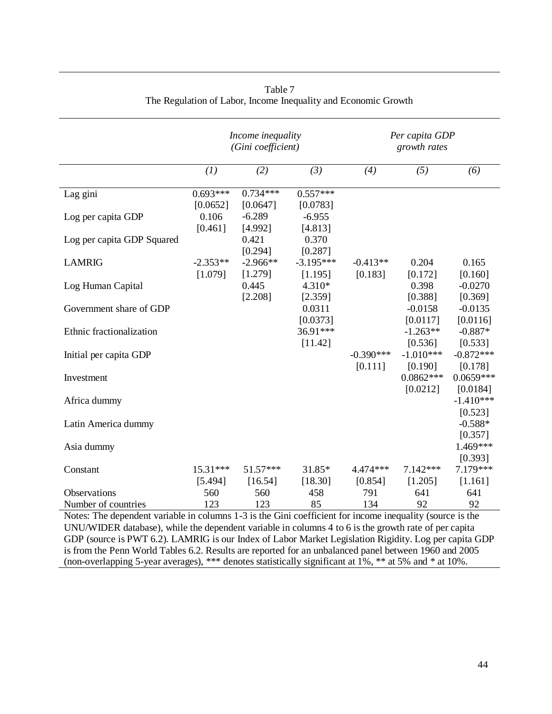|                                                                                                           | Income inequality<br>(Gini coefficient) |                        |                        | Per capita GDP<br>growth rates |                         |                         |  |
|-----------------------------------------------------------------------------------------------------------|-----------------------------------------|------------------------|------------------------|--------------------------------|-------------------------|-------------------------|--|
|                                                                                                           | (1)                                     | (2)                    | (3)                    | (4)                            | (5)                     | (6)                     |  |
| Lag gini                                                                                                  | $0.693***$<br>[0.0652]                  | $0.734***$<br>[0.0647] | $0.557***$<br>[0.0783] |                                |                         |                         |  |
| Log per capita GDP                                                                                        | 0.106<br>[0.461]                        | $-6.289$<br>[4.992]    | $-6.955$<br>[4.813]    |                                |                         |                         |  |
| Log per capita GDP Squared                                                                                |                                         | 0.421<br>[0.294]       | 0.370<br>[0.287]       |                                |                         |                         |  |
| <b>LAMRIG</b>                                                                                             | $-2.353**$<br>[1.079]                   | $-2.966**$<br>[1.279]  | $-3.195***$<br>[1.195] | $-0.413**$<br>[0.183]          | 0.204<br>[0.172]        | 0.165<br>[0.160]        |  |
| Log Human Capital                                                                                         |                                         | 0.445<br>[2.208]       | 4.310*<br>[2.359]      |                                | 0.398<br>[0.388]        | $-0.0270$<br>[0.369]    |  |
| Government share of GDP                                                                                   |                                         |                        | 0.0311<br>[0.0373]     |                                | $-0.0158$<br>[0.0117]   | $-0.0135$<br>[0.0116]   |  |
| Ethnic fractionalization                                                                                  |                                         |                        | 36.91***<br>[11.42]    |                                | $-1.263**$<br>[0.536]   | $-0.887*$<br>[0.533]    |  |
| Initial per capita GDP                                                                                    |                                         |                        |                        | $-0.390***$<br>[0.111]         | $-1.010***$<br>[0.190]  | $-0.872***$<br>[0.178]  |  |
| Investment                                                                                                |                                         |                        |                        |                                | $0.0862***$<br>[0.0212] | $0.0659***$<br>[0.0184] |  |
| Africa dummy                                                                                              |                                         |                        |                        |                                |                         | $-1.410***$<br>[0.523]  |  |
| Latin America dummy                                                                                       |                                         |                        |                        |                                |                         | $-0.588*$<br>[0.357]    |  |
| Asia dummy                                                                                                |                                         |                        |                        |                                |                         | 1.469***<br>[0.393]     |  |
| Constant                                                                                                  | $15.31***$<br>[5.494]                   | 51.57***<br>[16.54]    | 31.85*<br>[18.30]      | 4.474***<br>[0.854]            | $7.142***$<br>[1.205]   | 7.179***<br>[1.161]     |  |
| <b>Observations</b>                                                                                       | 560                                     | 560                    | 458                    | 791                            | 641                     | 641                     |  |
| Number of countries                                                                                       | 123                                     | 123                    | 85                     | 134                            | 92                      | 92                      |  |
| Notes: The dependent variable in columns 1-3 is the Gini coefficient for income inequality (source is the |                                         |                        |                        |                                |                         |                         |  |

#### Table 7 The Regulation of Labor, Income Inequality and Economic Growth

UNU/WIDER database), while the dependent variable in columns 4 to 6 is the growth rate of per capita GDP (source is PWT 6.2). LAMRIG is our Index of Labor Market Legislation Rigidity. Log per capita GDP is from the Penn World Tables 6.2. Results are reported for an unbalanced panel between 1960 and 2005 (non-overlapping 5-year averages), \*\*\* denotes statistically significant at 1%, \*\* at 5% and \* at 10%.